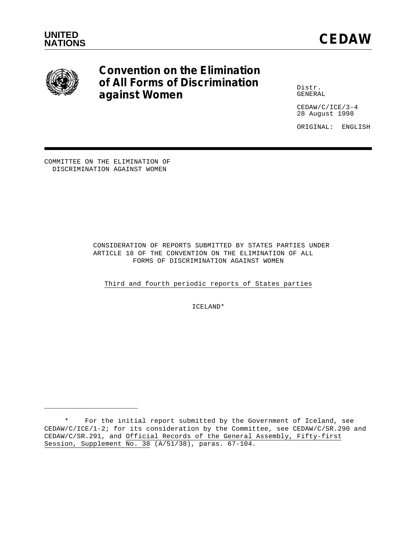

# **Convention on the Elimination of All Forms of Discrimination against Women**

Distr. GENERAL

CEDAW/C/ICE/3-4 28 August 1998

ORIGINAL: ENGLISH

COMMITTEE ON THE ELIMINATION OF DISCRIMINATION AGAINST WOMEN

\_\_\_\_\_\_\_\_\_\_\_\_\_\_\_\_\_\_\_\_\_\_\_

 CONSIDERATION OF REPORTS SUBMITTED BY STATES PARTIES UNDER ARTICLE 18 OF THE CONVENTION ON THE ELIMINATION OF ALL FORMS OF DISCRIMINATION AGAINST WOMEN

Third and fourth periodic reports of States parties

ICELAND\*

<sup>\*</sup> For the initial report submitted by the Government of Iceland, see CEDAW/C/ICE/1-2; for its consideration by the Committee, see CEDAW/C/SR.290 and CEDAW/C/SR.291, and Official Records of the General Assembly, Fifty-first Session, Supplement No. 38 (A/51/38), paras. 67-104.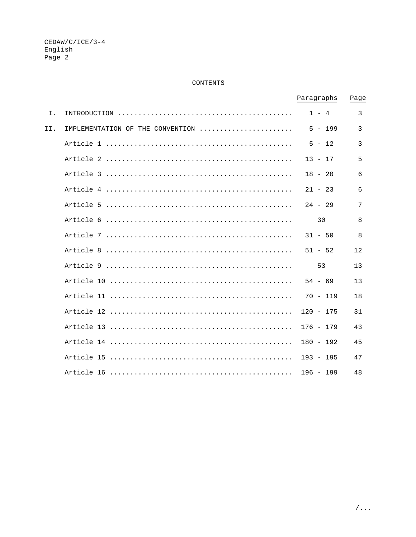# CONTENTS

|     |                                  | Paragraphs  | Page |
|-----|----------------------------------|-------------|------|
| Ι.  |                                  | $1 - 4$     | 3    |
| II. | IMPLEMENTATION OF THE CONVENTION | $5 - 199$   | 3    |
|     |                                  | $5 - 12$    | 3    |
|     |                                  | $13 - 17$   | 5    |
|     |                                  | $18 - 20$   | 6    |
|     |                                  | $21 - 23$   | 6    |
|     |                                  | $24 - 29$   | 7    |
|     |                                  | 30          | 8    |
|     |                                  | $31 - 50$   | 8    |
|     |                                  | $51 - 52$   | 12   |
|     |                                  | 53          | 13   |
|     |                                  | $54 - 69$   | 13   |
|     |                                  | $70 - 119$  | 18   |
|     |                                  | $120 - 175$ | 31   |
|     |                                  | $176 - 179$ | 43   |
|     |                                  | $180 - 192$ | 45   |
|     |                                  | $193 - 195$ | 47   |
|     |                                  | $196 - 199$ | 48   |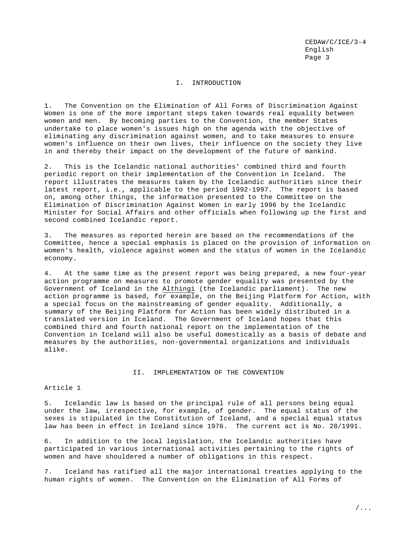# I. INTRODUCTION

1. The Convention on the Elimination of All Forms of Discrimination Against Women is one of the more important steps taken towards real equality between women and men. By becoming parties to the Convention, the member States undertake to place women's issues high on the agenda with the objective of eliminating any discrimination against women, and to take measures to ensure women's influence on their own lives, their influence on the society they live in and thereby their impact on the development of the future of mankind.

2. This is the Icelandic national authorities' combined third and fourth periodic report on their implementation of the Convention in Iceland. The report illustrates the measures taken by the Icelandic authorities since their latest report, i.e., applicable to the period 1992-1997. The report is based on, among other things, the information presented to the Committee on the Elimination of Discrimination Against Women in early 1996 by the Icelandic Minister for Social Affairs and other officials when following up the first and second combined Icelandic report.

3. The measures as reported herein are based on the recommendations of the Committee, hence a special emphasis is placed on the provision of information on women's health, violence against women and the status of women in the Icelandic economy.

4. At the same time as the present report was being prepared, a new four-year action programme on measures to promote gender equality was presented by the Government of Iceland in the Althingi (the Icelandic parliament). The new action programme is based, for example, on the Beijing Platform for Action, with a special focus on the mainstreaming of gender equality. Additionally, a summary of the Beijing Platform for Action has been widely distributed in a translated version in Iceland. The Government of Iceland hopes that this combined third and fourth national report on the implementation of the Convention in Iceland will also be useful domestically as a basis of debate and measures by the authorities, non-governmental organizations and individuals alike.

## II. IMPLEMENTATION OF THE CONVENTION

## Article 1

5. Icelandic law is based on the principal rule of all persons being equal under the law, irrespective, for example, of gender. The equal status of the sexes is stipulated in the Constitution of Iceland, and a special equal status law has been in effect in Iceland since 1976. The current act is No. 28/1991.

6. In addition to the local legislation, the Icelandic authorities have participated in various international activities pertaining to the rights of women and have shouldered a number of obligations in this respect.

7. Iceland has ratified all the major international treaties applying to the human rights of women. The Convention on the Elimination of All Forms of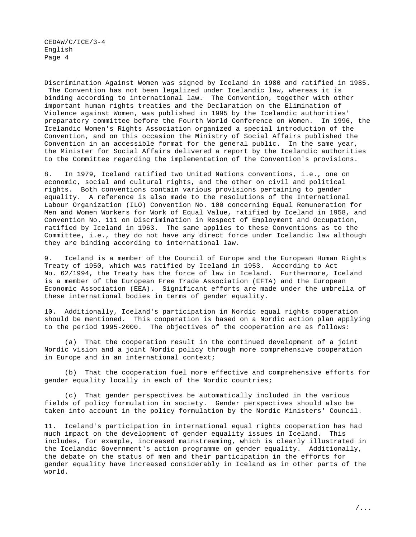Discrimination Against Women was signed by Iceland in 1980 and ratified in 1985. The Convention has not been legalized under Icelandic law, whereas it is binding according to international law. The Convention, together with other important human rights treaties and the Declaration on the Elimination of Violence against Women, was published in 1995 by the Icelandic authorities' preparatory committee before the Fourth World Conference on Women. In 1996, the Icelandic Women's Rights Association organized a special introduction of the Convention, and on this occasion the Ministry of Social Affairs published the Convention in an accessible format for the general public. In the same year, the Minister for Social Affairs delivered a report by the Icelandic authorities to the Committee regarding the implementation of the Convention's provisions.

8. In 1979, Iceland ratified two United Nations conventions, i.e., one on economic, social and cultural rights, and the other on civil and political rights. Both conventions contain various provisions pertaining to gender equality. A reference is also made to the resolutions of the International Labour Organization (ILO) Convention No. 100 concerning Equal Remuneration for Men and Women Workers for Work of Equal Value, ratified by Iceland in 1958, and Convention No. 111 on Discrimination in Respect of Employment and Occupation, ratified by Iceland in 1963. The same applies to these Conventions as to the Committee, i.e., they do not have any direct force under Icelandic law although they are binding according to international law.

9. Iceland is a member of the Council of Europe and the European Human Rights Treaty of 1950, which was ratified by Iceland in 1953. According to Act No. 62/1994, the Treaty has the force of law in Iceland. Furthermore, Iceland is a member of the European Free Trade Association (EFTA) and the European Economic Association (EEA). Significant efforts are made under the umbrella of these international bodies in terms of gender equality.

10. Additionally, Iceland's participation in Nordic equal rights cooperation should be mentioned. This cooperation is based on a Nordic action plan applying to the period 1995-2000. The objectives of the cooperation are as follows:

(a) That the cooperation result in the continued development of a joint Nordic vision and a joint Nordic policy through more comprehensive cooperation in Europe and in an international context;

(b) That the cooperation fuel more effective and comprehensive efforts for gender equality locally in each of the Nordic countries;

(c) That gender perspectives be automatically included in the various fields of policy formulation in society. Gender perspectives should also be taken into account in the policy formulation by the Nordic Ministers' Council.

11. Iceland's participation in international equal rights cooperation has had much impact on the development of gender equality issues in Iceland. This includes, for example, increased mainstreaming, which is clearly illustrated in the Icelandic Government's action programme on gender equality. Additionally, the debate on the status of men and their participation in the efforts for gender equality have increased considerably in Iceland as in other parts of the world.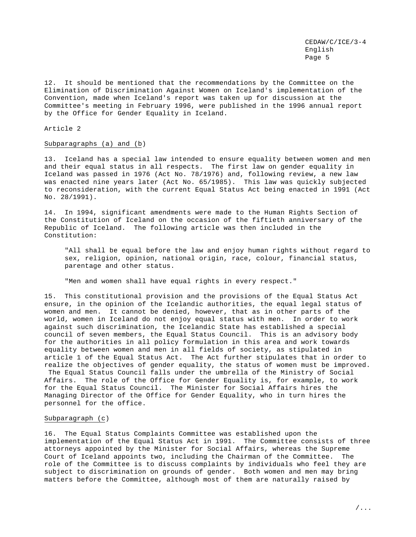12. It should be mentioned that the recommendations by the Committee on the Elimination of Discrimination Against Women on Iceland's implementation of the Convention, made when Iceland's report was taken up for discussion at the Committee's meeting in February 1996, were published in the 1996 annual report by the Office for Gender Equality in Iceland.

Article 2

#### Subparagraphs (a) and (b)

13. Iceland has a special law intended to ensure equality between women and men and their equal status in all respects. The first law on gender equality in Iceland was passed in 1976 (Act No. 78/1976) and, following review, a new law was enacted nine years later (Act No. 65/1985). This law was quickly subjected to reconsideration, with the current Equal Status Act being enacted in 1991 (Act No. 28/1991).

14. In 1994, significant amendments were made to the Human Rights Section of the Constitution of Iceland on the occasion of the fiftieth anniversary of the Republic of Iceland. The following article was then included in the Constitution:

"All shall be equal before the law and enjoy human rights without regard to sex, religion, opinion, national origin, race, colour, financial status, parentage and other status.

"Men and women shall have equal rights in every respect."

15. This constitutional provision and the provisions of the Equal Status Act ensure, in the opinion of the Icelandic authorities, the equal legal status of women and men. It cannot be denied, however, that as in other parts of the world, women in Iceland do not enjoy equal status with men. In order to work against such discrimination, the Icelandic State has established a special council of seven members, the Equal Status Council. This is an advisory body for the authorities in all policy formulation in this area and work towards equality between women and men in all fields of society, as stipulated in article 1 of the Equal Status Act. The Act further stipulates that in order to realize the objectives of gender equality, the status of women must be improved. The Equal Status Council falls under the umbrella of the Ministry of Social Affairs. The role of the Office for Gender Equality is, for example, to work for the Equal Status Council. The Minister for Social Affairs hires the Managing Director of the Office for Gender Equality, who in turn hires the personnel for the office.

#### Subparagraph (c)

16. The Equal Status Complaints Committee was established upon the implementation of the Equal Status Act in 1991. The Committee consists of three attorneys appointed by the Minister for Social Affairs, whereas the Supreme Court of Iceland appoints two, including the Chairman of the Committee. The role of the Committee is to discuss complaints by individuals who feel they are subject to discrimination on grounds of gender. Both women and men may bring matters before the Committee, although most of them are naturally raised by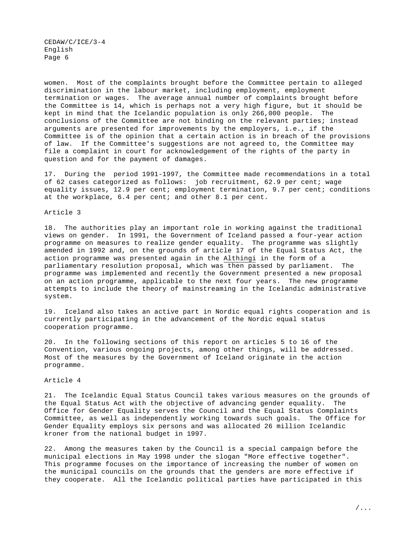women. Most of the complaints brought before the Committee pertain to alleged discrimination in the labour market, including employment, employment termination or wages. The average annual number of complaints brought before the Committee is 14, which is perhaps not a very high figure, but it should be kept in mind that the Icelandic population is only 266,000 people. The conclusions of the Committee are not binding on the relevant parties; instead arguments are presented for improvements by the employers, i.e., if the Committee is of the opinion that a certain action is in breach of the provisions of law. If the Committee's suggestions are not agreed to, the Committee may file a complaint in court for acknowledgement of the rights of the party in question and for the payment of damages.

17. During the period 1991-1997, the Committee made recommendations in a total of 62 cases categorized as follows: job recruitment, 62.9 per cent; wage equality issues, 12.9 per cent; employment termination, 9.7 per cent; conditions at the workplace, 6.4 per cent; and other 8.1 per cent.

## Article 3

18. The authorities play an important role in working against the traditional views on gender. In 1991, the Government of Iceland passed a four-year action programme on measures to realize gender equality. The programme was slightly amended in 1992 and, on the grounds of article 17 of the Equal Status Act, the action programme was presented again in the Althingi in the form of a parliamentary resolution proposal, which was then passed by parliament. The programme was implemented and recently the Government presented a new proposal on an action programme, applicable to the next four years. The new programme attempts to include the theory of mainstreaming in the Icelandic administrative system.

19. Iceland also takes an active part in Nordic equal rights cooperation and is currently participating in the advancement of the Nordic equal status cooperation programme.

20. In the following sections of this report on articles 5 to 16 of the Convention, various ongoing projects, among other things, will be addressed. Most of the measures by the Government of Iceland originate in the action programme.

## Article 4

21. The Icelandic Equal Status Council takes various measures on the grounds of the Equal Status Act with the objective of advancing gender equality. The Office for Gender Equality serves the Council and the Equal Status Complaints Committee, as well as independently working towards such goals. The Office for Gender Equality employs six persons and was allocated 26 million Icelandic kroner from the national budget in 1997.

22. Among the measures taken by the Council is a special campaign before the municipal elections in May 1998 under the slogan "More effective together". This programme focuses on the importance of increasing the number of women on the municipal councils on the grounds that the genders are more effective if they cooperate. All the Icelandic political parties have participated in this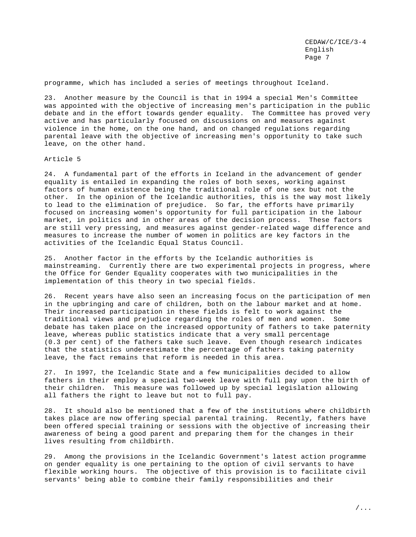programme, which has included a series of meetings throughout Iceland.

23. Another measure by the Council is that in 1994 a special Men's Committee was appointed with the objective of increasing men's participation in the public debate and in the effort towards gender equality. The Committee has proved very active and has particularly focused on discussions on and measures against violence in the home, on the one hand, and on changed regulations regarding parental leave with the objective of increasing men's opportunity to take such leave, on the other hand.

Article 5

24. A fundamental part of the efforts in Iceland in the advancement of gender equality is entailed in expanding the roles of both sexes, working against factors of human existence being the traditional role of one sex but not the other. In the opinion of the Icelandic authorities, this is the way most likely to lead to the elimination of prejudice. So far, the efforts have primarily focused on increasing women's opportunity for full participation in the labour market, in politics and in other areas of the decision process. These factors are still very pressing, and measures against gender-related wage difference and measures to increase the number of women in politics are key factors in the activities of the Icelandic Equal Status Council.

25. Another factor in the efforts by the Icelandic authorities is mainstreaming. Currently there are two experimental projects in progress, where the Office for Gender Equality cooperates with two municipalities in the implementation of this theory in two special fields.

26. Recent years have also seen an increasing focus on the participation of men in the upbringing and care of children, both on the labour market and at home. Their increased participation in these fields is felt to work against the traditional views and prejudice regarding the roles of men and women. Some debate has taken place on the increased opportunity of fathers to take paternity leave, whereas public statistics indicate that a very small percentage (0.3 per cent) of the fathers take such leave. Even though research indicates that the statistics underestimate the percentage of fathers taking paternity leave, the fact remains that reform is needed in this area.

27. In 1997, the Icelandic State and a few municipalities decided to allow fathers in their employ a special two-week leave with full pay upon the birth of their children. This measure was followed up by special legislation allowing all fathers the right to leave but not to full pay.

28. It should also be mentioned that a few of the institutions where childbirth takes place are now offering special parental training. Recently, fathers have been offered special training or sessions with the objective of increasing their awareness of being a good parent and preparing them for the changes in their lives resulting from childbirth.

29. Among the provisions in the Icelandic Government's latest action programme on gender equality is one pertaining to the option of civil servants to have flexible working hours. The objective of this provision is to facilitate civil servants' being able to combine their family responsibilities and their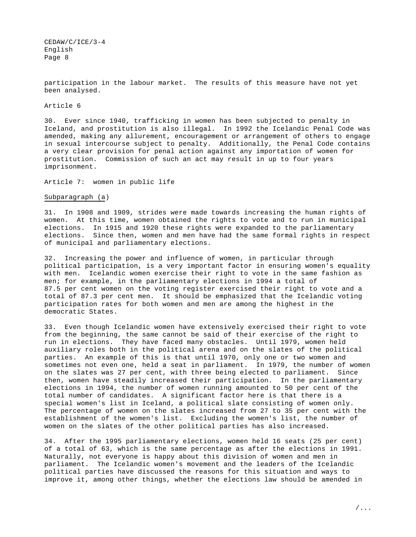participation in the labour market. The results of this measure have not yet been analysed.

## Article 6

30. Ever since 1940, trafficking in women has been subjected to penalty in Iceland, and prostitution is also illegal. In 1992 the Icelandic Penal Code was amended, making any allurement, encouragement or arrangement of others to engage in sexual intercourse subject to penalty. Additionally, the Penal Code contains a very clear provision for penal action against any importation of women for prostitution. Commission of such an act may result in up to four years imprisonment.

Article 7: women in public life

Subparagraph (a)

31. In 1908 and 1909, strides were made towards increasing the human rights of women. At this time, women obtained the rights to vote and to run in municipal elections. In 1915 and 1920 these rights were expanded to the parliamentary elections. Since then, women and men have had the same formal rights in respect of municipal and parliamentary elections.

32. Increasing the power and influence of women, in particular through political participation, is a very important factor in ensuring women's equality with men. Icelandic women exercise their right to vote in the same fashion as men; for example, in the parliamentary elections in 1994 a total of 87.5 per cent women on the voting register exercised their right to vote and a total of 87.3 per cent men. It should be emphasized that the Icelandic voting participation rates for both women and men are among the highest in the democratic States.

33. Even though Icelandic women have extensively exercised their right to vote from the beginning, the same cannot be said of their exercise of the right to run in elections. They have faced many obstacles. Until 1979, women held auxiliary roles both in the political arena and on the slates of the political parties. An example of this is that until 1970, only one or two women and sometimes not even one, held a seat in parliament. In 1979, the number of women on the slates was 27 per cent, with three being elected to parliament. Since then, women have steadily increased their participation. In the parliamentary elections in 1994, the number of women running amounted to 50 per cent of the total number of candidates. A significant factor here is that there is a special women's list in Iceland, a political slate consisting of women only. The percentage of women on the slates increased from 27 to 35 per cent with the establishment of the women's list. Excluding the women's list, the number of women on the slates of the other political parties has also increased.

34. After the 1995 parliamentary elections, women held 16 seats (25 per cent) of a total of 63, which is the same percentage as after the elections in 1991. Naturally, not everyone is happy about this division of women and men in parliament. The Icelandic women's movement and the leaders of the Icelandic political parties have discussed the reasons for this situation and ways to improve it, among other things, whether the elections law should be amended in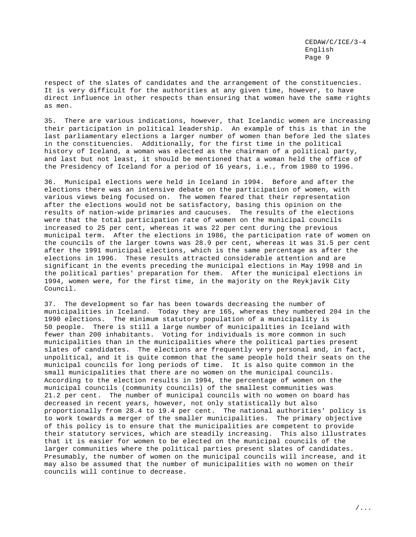respect of the slates of candidates and the arrangement of the constituencies. It is very difficult for the authorities at any given time, however, to have direct influence in other respects than ensuring that women have the same rights as men.

35. There are various indications, however, that Icelandic women are increasing their participation in political leadership. An example of this is that in the last parliamentary elections a larger number of women than before led the slates in the constituencies. Additionally, for the first time in the political history of Iceland, a woman was elected as the chairman of a political party, and last but not least, it should be mentioned that a woman held the office of the Presidency of Iceland for a period of 16 years, i.e., from 1980 to 1996.

36. Municipal elections were held in Iceland in 1994. Before and after the elections there was an intensive debate on the participation of women, with various views being focused on. The women feared that their representation after the elections would not be satisfactory, basing this opinion on the results of nation-wide primaries and caucuses. The results of the elections were that the total participation rate of women on the municipal councils increased to 25 per cent, whereas it was 22 per cent during the previous municipal term. After the elections in 1986, the participation rate of women on the councils of the larger towns was 28.9 per cent, whereas it was 31.5 per cent after the 1991 municipal elections, which is the same percentage as after the elections in 1996. These results attracted considerable attention and are significant in the events preceding the municipal elections in May 1998 and in the political parties' preparation for them. After the municipal elections in 1994, women were, for the first time, in the majority on the Reykjavík City Council.

37. The development so far has been towards decreasing the number of municipalities in Iceland. Today they are 165, whereas they numbered 204 in the 1990 elections. The minimum statutory population of a municipality is 50 people. There is still a large number of municipalities in Iceland with fewer than 200 inhabitants. Voting for individuals is more common in such municipalities than in the municipalities where the political parties present slates of candidates. The elections are frequently very personal and, in fact, unpolitical, and it is quite common that the same people hold their seats on the municipal councils for long periods of time. It is also quite common in the small municipalities that there are no women on the municipal councils. According to the election results in 1994, the percentage of women on the municipal councils (community councils) of the smallest communities was 21.2 per cent. The number of municipal councils with no women on board has decreased in recent years, however, not only statistically but also proportionally from 28.4 to 19.4 per cent. The national authorities' policy is to work towards a merger of the smaller municipalities. The primary objective of this policy is to ensure that the municipalities are competent to provide their statutory services, which are steadily increasing. This also illustrates that it is easier for women to be elected on the municipal councils of the larger communities where the political parties present slates of candidates. Presumably, the number of women on the municipal councils will increase, and it may also be assumed that the number of municipalities with no women on their councils will continue to decrease.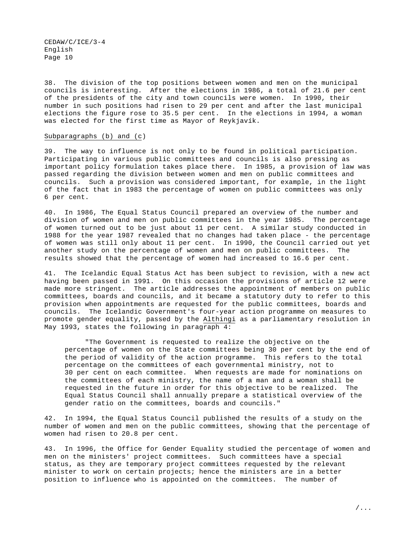38. The division of the top positions between women and men on the municipal councils is interesting. After the elections in 1986, a total of 21.6 per cent of the presidents of the city and town councils were women. In 1990, their number in such positions had risen to 29 per cent and after the last municipal elections the figure rose to 35.5 per cent. In the elections in 1994, a woman was elected for the first time as Mayor of Reykjavík.

#### Subparagraphs (b) and (c)

39. The way to influence is not only to be found in political participation. Participating in various public committees and councils is also pressing as important policy formulation takes place there. In 1985, a provision of law was passed regarding the division between women and men on public committees and councils. Such a provision was considered important, for example, in the light of the fact that in 1983 the percentage of women on public committees was only 6 per cent.

40. In 1986, The Equal Status Council prepared an overview of the number and division of women and men on public committees in the year 1985. The percentage of women turned out to be just about 11 per cent. A similar study conducted in 1988 for the year 1987 revealed that no changes had taken place - the percentage of women was still only about 11 per cent. In 1990, the Council carried out yet another study on the percentage of women and men on public committees. The results showed that the percentage of women had increased to 16.6 per cent.

41. The Icelandic Equal Status Act has been subject to revision, with a new act having been passed in 1991. On this occasion the provisions of article 12 were made more stringent. The article addresses the appointment of members on public committees, boards and councils, and it became a statutory duty to refer to this provision when appointments are requested for the public committees, boards and councils. The Icelandic Government's four-year action programme on measures to promote gender equality, passed by the Althingi as a parliamentary resolution in May 1993, states the following in paragraph 4:

"The Government is requested to realize the objective on the percentage of women on the State committees being 30 per cent by the end of the period of validity of the action programme. This refers to the total percentage on the committees of each governmental ministry, not to 30 per cent on each committee. When requests are made for nominations on the committees of each ministry, the name of a man and a woman shall be requested in the future in order for this objective to be realized. The Equal Status Council shall annually prepare a statistical overview of the gender ratio on the committees, boards and councils."

42. In 1994, the Equal Status Council published the results of a study on the number of women and men on the public committees, showing that the percentage of women had risen to 20.8 per cent.

43. In 1996, the Office for Gender Equality studied the percentage of women and men on the ministers' project committees. Such committees have a special status, as they are temporary project committees requested by the relevant minister to work on certain projects; hence the ministers are in a better position to influence who is appointed on the committees. The number of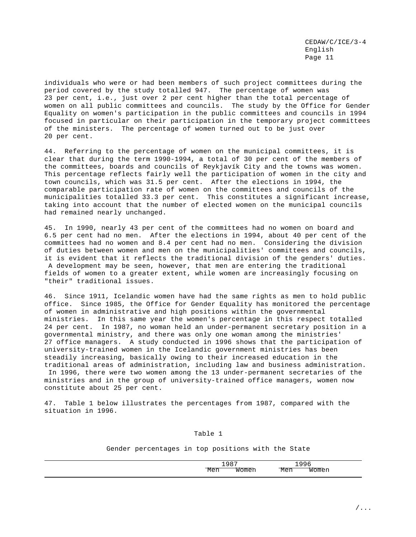individuals who were or had been members of such project committees during the period covered by the study totalled 947. The percentage of women was 23 per cent, i.e., just over 2 per cent higher than the total percentage of women on all public committees and councils. The study by the Office for Gender Equality on women's participation in the public committees and councils in 1994 focused in particular on their participation in the temporary project committees of the ministers. The percentage of women turned out to be just over 20 per cent.

44. Referring to the percentage of women on the municipal committees, it is clear that during the term 1990-1994, a total of 30 per cent of the members of the committees, boards and councils of Reykjavík City and the towns was women. This percentage reflects fairly well the participation of women in the city and town councils, which was 31.5 per cent. After the elections in 1994, the comparable participation rate of women on the committees and councils of the municipalities totalled 33.3 per cent. This constitutes a significant increase, taking into account that the number of elected women on the municipal councils had remained nearly unchanged.

45. In 1990, nearly 43 per cent of the committees had no women on board and 6.5 per cent had no men. After the elections in 1994, about 40 per cent of the committees had no women and 8.4 per cent had no men. Considering the division of duties between women and men on the municipalities' committees and councils, it is evident that it reflects the traditional division of the genders' duties. A development may be seen, however, that men are entering the traditional fields of women to a greater extent, while women are increasingly focusing on "their" traditional issues.

46. Since 1911, Icelandic women have had the same rights as men to hold public office. Since 1985, the Office for Gender Equality has monitored the percentage of women in administrative and high positions within the governmental ministries. In this same year the women's percentage in this respect totalled 24 per cent. In 1987, no woman held an under-permanent secretary position in a governmental ministry, and there was only one woman among the ministries' 27 office managers. A study conducted in 1996 shows that the participation of university-trained women in the Icelandic government ministries has been steadily increasing, basically owing to their increased education in the traditional areas of administration, including law and business administration. In 1996, there were two women among the 13 under-permanent secretaries of the ministries and in the group of university-trained office managers, women now constitute about 25 per cent.

47. Table 1 below illustrates the percentages from 1987, compared with the situation in 1996.

#### Table 1

Gender percentages in top positions with the State

|  | . |  |
|--|---|--|
|  |   |  |
|  |   |  |
|  |   |  |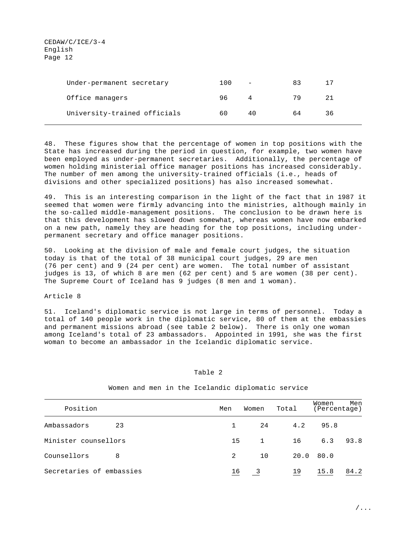| Under-permanent secretary    | 100 | $\qquad \qquad -$ | 83 |    |
|------------------------------|-----|-------------------|----|----|
| Office managers              | 96. | 4                 | 79 |    |
| University-trained officials | 60  | 40                | 64 | 36 |

48. These figures show that the percentage of women in top positions with the State has increased during the period in question, for example, two women have been employed as under-permanent secretaries. Additionally, the percentage of women holding ministerial office manager positions has increased considerably. The number of men among the university-trained officials (i.e., heads of divisions and other specialized positions) has also increased somewhat.

49. This is an interesting comparison in the light of the fact that in 1987 it seemed that women were firmly advancing into the ministries, although mainly in the so-called middle-management positions. The conclusion to be drawn here is that this development has slowed down somewhat, whereas women have now embarked on a new path, namely they are heading for the top positions, including underpermanent secretary and office manager positions.

50. Looking at the division of male and female court judges, the situation today is that of the total of 38 municipal court judges, 29 are men (76 per cent) and 9 (24 per cent) are women. The total number of assistant judges is 13, of which 8 are men (62 per cent) and 5 are women (38 per cent). The Supreme Court of Iceland has 9 judges (8 men and 1 woman).

#### Article 8

51. Iceland's diplomatic service is not large in terms of personnel. Today a total of 140 people work in the diplomatic service, 80 of them at the embassies and permanent missions abroad (see table 2 below). There is only one woman among Iceland's total of 23 ambassadors. Appointed in 1991, she was the first woman to become an ambassador in the Icelandic diplomatic service.

#### Table 2

| Position                 | Men | Women        | Total | Women<br>Percentage) | Men  |
|--------------------------|-----|--------------|-------|----------------------|------|
| 23<br>Ambassadors        | 1   | 24           | 4.2   | 95.8                 |      |
| Minister counsellors     | 15  | <sup>1</sup> | 16    | 6.3                  | 93.8 |
| 8<br>Counsellors         | 2   | 10           | 20.0  | 80.0                 |      |
| Secretaries of embassies | 16  | - 3          | 19    | 15.8                 | 84.2 |

#### Women and men in the Icelandic diplomatic service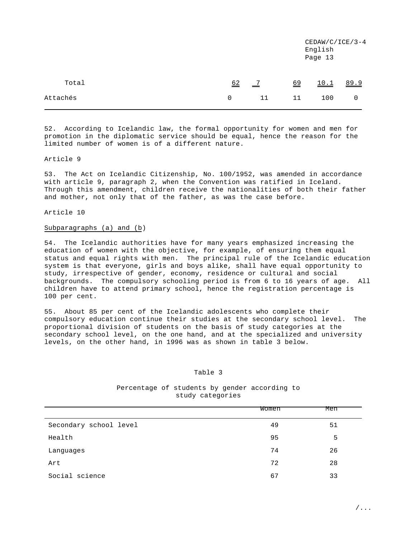|          |    |                           |                  | $CEDAW/C/ICE/3-4$<br>English<br>Page 13 |      |
|----------|----|---------------------------|------------------|-----------------------------------------|------|
| Total    | 62 | $\overline{\phantom{0}2}$ | $\underline{69}$ | 10.1                                    | 89.9 |
| Attachés | 0  | 11                        | 11               | 100                                     | 0    |

52. According to Icelandic law, the formal opportunity for women and men for promotion in the diplomatic service should be equal, hence the reason for the limited number of women is of a different nature.

#### Article 9

53. The Act on Icelandic Citizenship, No. 100/1952, was amended in accordance with article 9, paragraph 2, when the Convention was ratified in Iceland. Through this amendment, children receive the nationalities of both their father and mother, not only that of the father, as was the case before.

## Article 10

# Subparagraphs (a) and (b)

54. The Icelandic authorities have for many years emphasized increasing the education of women with the objective, for example, of ensuring them equal status and equal rights with men. The principal rule of the Icelandic education system is that everyone, girls and boys alike, shall have equal opportunity to study, irrespective of gender, economy, residence or cultural and social backgrounds. The compulsory schooling period is from 6 to 16 years of age. All children have to attend primary school, hence the registration percentage is 100 per cent.

55. About 85 per cent of the Icelandic adolescents who complete their compulsory education continue their studies at the secondary school level. The proportional division of students on the basis of study categories at the secondary school level, on the one hand, and at the specialized and university levels, on the other hand, in 1996 was as shown in table 3 below.

#### Table 3

# Percentage of students by gender according to study categories

|                        | Women | Men |
|------------------------|-------|-----|
| Secondary school level | 49    | 51  |
| Health                 | 95    | 5   |
| Languages              | 74    | 26  |
| Art                    | 72    | 28  |
| Social science         | 67    | 33  |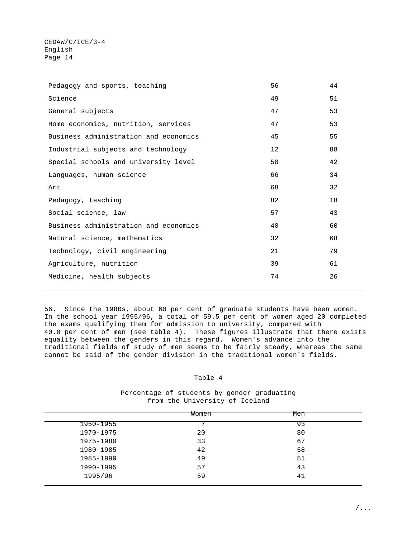| Pedagogy and sports, teaching         | 56 | 44 |
|---------------------------------------|----|----|
| Science                               | 49 | 51 |
| General subjects                      | 47 | 53 |
| Home economics, nutrition, services   | 47 | 53 |
| Business administration and economics | 45 | 55 |
| Industrial subjects and technology    | 12 | 88 |
| Special schools and university level  | 58 | 42 |
| Languages, human science              | 66 | 34 |
| Art                                   | 68 | 32 |
| Pedagogy, teaching                    | 82 | 18 |
| Social science, law                   | 57 | 43 |
| Business administration and economics | 40 | 60 |
| Natural science, mathematics          | 32 | 68 |
| Technology, civil engineering         | 21 | 79 |
| Agriculture, nutrition                | 39 | 61 |
| Medicine, health subjects             | 74 | 26 |
|                                       |    |    |

56. Since the 1980s, about 60 per cent of graduate students have been women. In the school year 1995/96, a total of 59.5 per cent of women aged 20 completed the exams qualifying them for admission to university, compared with 40.8 per cent of men (see table 4). These figures illustrate that there exists equality between the genders in this regard. Women's advance into the traditional fields of study of men seems to be fairly steady, whereas the same cannot be said of the gender division in the traditional women's fields.

# Table 4

# Percentage of students by gender graduating from the University of Iceland

|           | Women | Men |  |
|-----------|-------|-----|--|
| 1950-1955 |       | 93  |  |
| 1970-1975 | 20    | 80  |  |
| 1975-1980 | 33    | 67  |  |
| 1980-1985 | 42    | 58  |  |
| 1985-1990 | 49    | 51  |  |
| 1990-1995 | 57    | 43  |  |
| 1995/96   | 59    | 41  |  |
|           |       |     |  |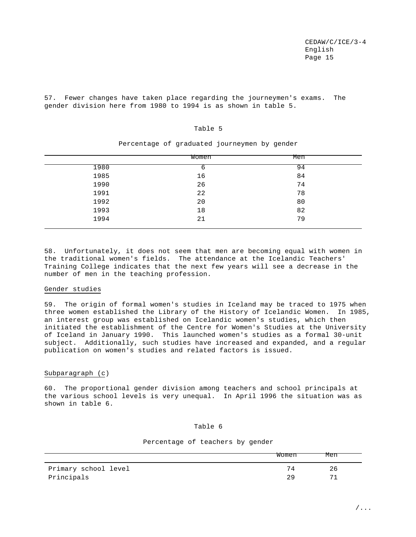57. Fewer changes have taken place regarding the journeymen's exams. The gender division here from 1980 to 1994 is as shown in table 5.

#### Table 5

|      | Women | Men |  |
|------|-------|-----|--|
| 1980 | b     | 94  |  |
| 1985 | 16    | 84  |  |
| 1990 | 26    | 74  |  |
| 1991 | 22    | 78  |  |
| 1992 | 20    | 80  |  |
| 1993 | 18    | 82  |  |
| 1994 | 21    | 79  |  |

Percentage of graduated journeymen by gender

58. Unfortunately, it does not seem that men are becoming equal with women in the traditional women's fields. The attendance at the Icelandic Teachers' Training College indicates that the next few years will see a decrease in the number of men in the teaching profession.

## Gender studies

59. The origin of formal women's studies in Iceland may be traced to 1975 when three women established the Library of the History of Icelandic Women. In 1985, an interest group was established on Icelandic women's studies, which then initiated the establishment of the Centre for Women's Studies at the University of Iceland in January 1990. This launched women's studies as a formal 30-unit subject. Additionally, such studies have increased and expanded, and a regular publication on women's studies and related factors is issued.

# Subparagraph (c)

60. The proportional gender division among teachers and school principals at the various school levels is very unequal. In April 1996 the situation was as shown in table 6.

## Table 6

#### Percentage of teachers by gender

|                      | Women | Men |
|----------------------|-------|-----|
| Primary school level |       | 26  |
| Principals           |       | 7.  |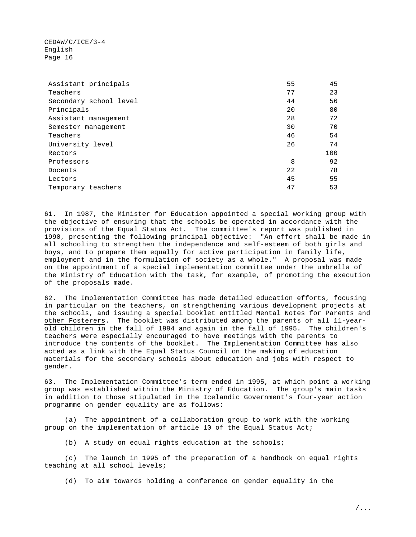| Assistant principals   | 55 | 45  |
|------------------------|----|-----|
| Teachers               | 77 | 23  |
| Secondary school level | 44 | 56  |
| Principals             | 20 | 80  |
| Assistant management   | 28 | 72  |
| Semester management    | 30 | 70  |
| Teachers               | 46 | 54  |
| University level       | 26 | 74  |
| Rectors                |    | 100 |
| Professors             | 8  | 92  |
| Docents                | 22 | 78  |
| Lectors                | 45 | 55  |
| Temporary teachers     | 47 | 53  |

61. In 1987, the Minister for Education appointed a special working group with the objective of ensuring that the schools be operated in accordance with the provisions of the Equal Status Act. The committee's report was published in 1990, presenting the following principal objective: "An effort shall be made in all schooling to strengthen the independence and self-esteem of both girls and boys, and to prepare them equally for active participation in family life, employment and in the formulation of society as a whole." A proposal was made on the appointment of a special implementation committee under the umbrella of the Ministry of Education with the task, for example, of promoting the execution of the proposals made.

62. The Implementation Committee has made detailed education efforts, focusing in particular on the teachers, on strengthening various development projects at the schools, and issuing a special booklet entitled Mental Notes for Parents and other Fosterers. The booklet was distributed among the parents of all 11-yearold children in the fall of 1994 and again in the fall of 1995. The children's teachers were especially encouraged to have meetings with the parents to introduce the contents of the booklet. The Implementation Committee has also acted as a link with the Equal Status Council on the making of education materials for the secondary schools about education and jobs with respect to gender.

63. The Implementation Committee's term ended in 1995, at which point a working group was established within the Ministry of Education. The group's main tasks in addition to those stipulated in the Icelandic Government's four-year action programme on gender equality are as follows:

(a) The appointment of a collaboration group to work with the working group on the implementation of article 10 of the Equal Status Act;

(b) A study on equal rights education at the schools;

(c) The launch in 1995 of the preparation of a handbook on equal rights teaching at all school levels;

(d) To aim towards holding a conference on gender equality in the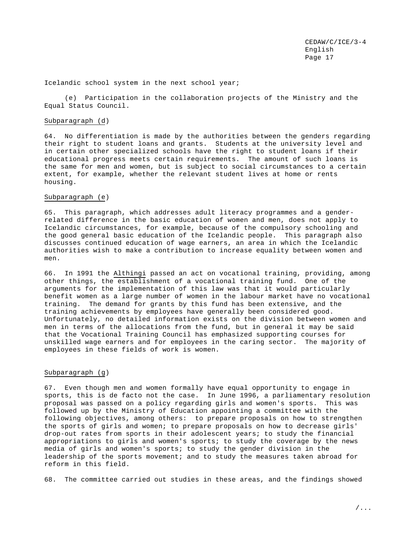Icelandic school system in the next school year;

(e) Participation in the collaboration projects of the Ministry and the Equal Status Council.

#### Subparagraph (d)

64. No differentiation is made by the authorities between the genders regarding their right to student loans and grants. Students at the university level and in certain other specialized schools have the right to student loans if their educational progress meets certain requirements. The amount of such loans is the same for men and women, but is subject to social circumstances to a certain extent, for example, whether the relevant student lives at home or rents housing.

## Subparagraph (e)

65. This paragraph, which addresses adult literacy programmes and a genderrelated difference in the basic education of women and men, does not apply to Icelandic circumstances, for example, because of the compulsory schooling and the good general basic education of the Icelandic people. This paragraph also discusses continued education of wage earners, an area in which the Icelandic authorities wish to make a contribution to increase equality between women and men.

66. In 1991 the Althingi passed an act on vocational training, providing, among other things, the establishment of a vocational training fund. One of the arguments for the implementation of this law was that it would particularly benefit women as a large number of women in the labour market have no vocational training. The demand for grants by this fund has been extensive, and the training achievements by employees have generally been considered good. Unfortunately, no detailed information exists on the division between women and men in terms of the allocations from the fund, but in general it may be said that the Vocational Training Council has emphasized supporting courses for unskilled wage earners and for employees in the caring sector. The majority of employees in these fields of work is women.

## Subparagraph (g)

67. Even though men and women formally have equal opportunity to engage in sports, this is de facto not the case. In June 1996, a parliamentary resolution proposal was passed on a policy regarding girls and women's sports. This was followed up by the Ministry of Education appointing a committee with the following objectives, among others: to prepare proposals on how to strengthen the sports of girls and women; to prepare proposals on how to decrease girls' drop-out rates from sports in their adolescent years; to study the financial appropriations to girls and women's sports; to study the coverage by the news media of girls and women's sports; to study the gender division in the leadership of the sports movement; and to study the measures taken abroad for reform in this field.

68. The committee carried out studies in these areas, and the findings showed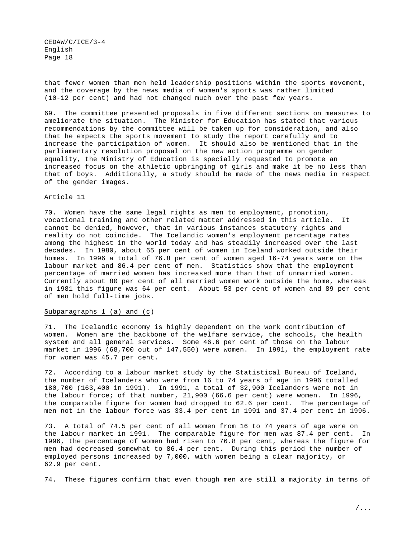that fewer women than men held leadership positions within the sports movement, and the coverage by the news media of women's sports was rather limited (10-12 per cent) and had not changed much over the past few years.

69. The committee presented proposals in five different sections on measures to ameliorate the situation. The Minister for Education has stated that various recommendations by the committee will be taken up for consideration, and also that he expects the sports movement to study the report carefully and to increase the participation of women. It should also be mentioned that in the parliamentary resolution proposal on the new action programme on gender equality, the Ministry of Education is specially requested to promote an increased focus on the athletic upbringing of girls and make it be no less than that of boys. Additionally, a study should be made of the news media in respect of the gender images.

#### Article 11

70. Women have the same legal rights as men to employment, promotion, vocational training and other related matter addressed in this article. It cannot be denied, however, that in various instances statutory rights and reality do not coincide. The Icelandic women's employment percentage rates among the highest in the world today and has steadily increased over the last decades. In 1980, about 65 per cent of women in Iceland worked outside their homes. In 1996 a total of 76.8 per cent of women aged 16-74 years were on the labour market and 86.4 per cent of men. Statistics show that the employment percentage of married women has increased more than that of unmarried women. Currently about 80 per cent of all married women work outside the home, whereas in 1981 this figure was 64 per cent. About 53 per cent of women and 89 per cent of men hold full-time jobs.

## Subparagraphs 1 (a) and (c)

71. The Icelandic economy is highly dependent on the work contribution of women. Women are the backbone of the welfare service, the schools, the health system and all general services. Some 46.6 per cent of those on the labour market in 1996 (68,700 out of 147,550) were women. In 1991, the employment rate for women was 45.7 per cent.

72. According to a labour market study by the Statistical Bureau of Iceland, the number of Icelanders who were from 16 to 74 years of age in 1996 totalled 180,700 (163,400 in 1991). In 1991, a total of 32,900 Icelanders were not in the labour force; of that number, 21,900 (66.6 per cent) were women. In 1996, the comparable figure for women had dropped to 62.6 per cent. The percentage of men not in the labour force was 33.4 per cent in 1991 and 37.4 per cent in 1996.

73. A total of 74.5 per cent of all women from 16 to 74 years of age were on the labour market in 1991. The comparable figure for men was 87.4 per cent. In 1996, the percentage of women had risen to 76.8 per cent, whereas the figure for men had decreased somewhat to 86.4 per cent. During this period the number of employed persons increased by 7,000, with women being a clear majority, or 62.9 per cent.

74. These figures confirm that even though men are still a majority in terms of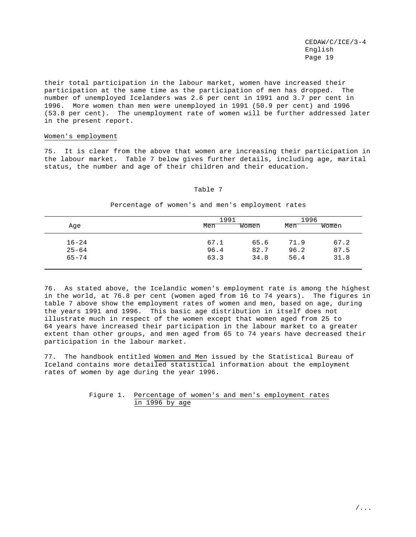their total participation in the labour market, women have increased their participation at the same time as the participation of men has dropped. The number of unemployed Icelanders was 2.6 per cent in 1991 and 3.7 per cent in 1996. More women than men were unemployed in 1991 (50.9 per cent) and 1996 (53.8 per cent). The unemployment rate of women will be further addressed later in the present report.

#### Women's employment

75. It is clear from the above that women are increasing their participation in the labour market. Table 7 below gives further details, including age, marital status, the number and age of their children and their education.

## Table 7

| Age       | 1991<br>Men | Women | 1996<br>Men | Women |
|-----------|-------------|-------|-------------|-------|
| $16 - 24$ | 67.1        | 65.6  | 71.9        | 67.2  |
| $25 - 64$ | 96.4        | 82.7  | 96.2        | 87.5  |
| $65 - 74$ | 63.3        | 34.8  | 56.4        | 31.8  |

Percentage of women's and men's employment rates

76. As stated above, the Icelandic women's employment rate is among the highest in the world, at 76.8 per cent (women aged from 16 to 74 years). The figures in table 7 above show the employment rates of women and men, based on age, during the years 1991 and 1996. This basic age distribution in itself does not illustrate much in respect of the women except that women aged from 25 to 64 years have increased their participation in the labour market to a greater extent than other groups, and men aged from 65 to 74 years have decreased their participation in the labour market.

77. The handbook entitled Women and Men issued by the Statistical Bureau of Iceland contains more detailed statistical information about the employment rates of women by age during the year 1996.

## Figure 1. Percentage of women's and men's employment rates in 1996 by age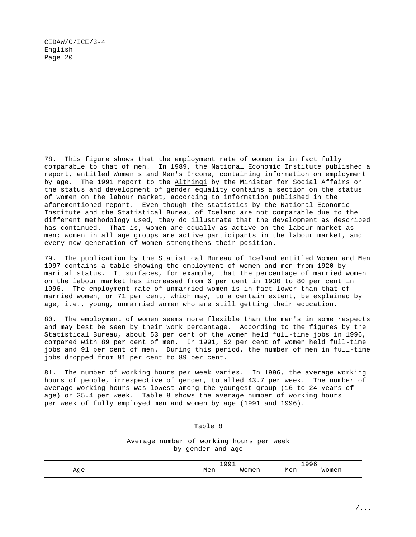78. This figure shows that the employment rate of women is in fact fully comparable to that of men. In 1989, the National Economic Institute published a report, entitled Women's and Men's Income, containing information on employment by age. The 1991 report to the Althingi by the Minister for Social Affairs on the status and development of gender equality contains a section on the status of women on the labour market, according to information published in the aforementioned report. Even though the statistics by the National Economic Institute and the Statistical Bureau of Iceland are not comparable due to the different methodology used, they do illustrate that the development as described has continued. That is, women are equally as active on the labour market as men; women in all age groups are active participants in the labour market, and every new generation of women strengthens their position.

79. The publication by the Statistical Bureau of Iceland entitled Women and Men 1997 contains a table showing the employment of women and men from 1920 by marital status. It surfaces, for example, that the percentage of married women on the labour market has increased from 6 per cent in 1930 to 80 per cent in 1996. The employment rate of unmarried women is in fact lower than that of married women, or 71 per cent, which may, to a certain extent, be explained by age, i.e., young, unmarried women who are still getting their education.

80. The employment of women seems more flexible than the men's in some respects and may best be seen by their work percentage. According to the figures by the Statistical Bureau, about 53 per cent of the women held full-time jobs in 1996, compared with 89 per cent of men. In 1991, 52 per cent of women held full-time jobs and 91 per cent of men. During this period, the number of men in full-time jobs dropped from 91 per cent to 89 per cent.

81. The number of working hours per week varies. In 1996, the average working hours of people, irrespective of gender, totalled 43.7 per week. The number of average working hours was lowest among the youngest group (16 to 24 years of age) or 35.4 per week. Table 8 shows the average number of working hours per week of fully employed men and women by age (1991 and 1996).

# Table 8

Average number of working hours per week by gender and age

|                                            | -- | -- | --       |  |
|--------------------------------------------|----|----|----------|--|
| - 22<br>$\sim$<br>$\overline{\phantom{a}}$ |    | .  | . .<br>ີ |  |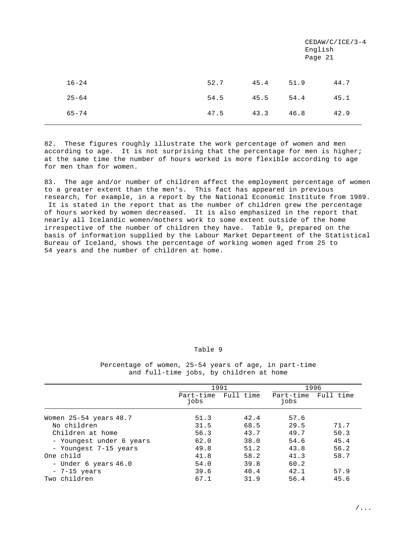|           |      |      |      | $CEDAW/C/ICE/3-4$<br>English<br>Page 21 |
|-----------|------|------|------|-----------------------------------------|
| $16 - 24$ | 52.7 | 45.4 | 51.9 | 44.7                                    |
| $25 - 64$ | 54.5 | 45.5 | 54.4 | 45.1                                    |
| $65 - 74$ | 47.5 | 43.3 | 46.8 | 42.9                                    |

82. These figures roughly illustrate the work percentage of women and men according to age. It is not surprising that the percentage for men is higher; at the same time the number of hours worked is more flexible according to age for men than for women.

83. The age and/or number of children affect the employment percentage of women to a greater extent than the men's. This fact has appeared in previous research, for example, in a report by the National Economic Institute from 1989. It is stated in the report that as the number of children grew the percentage of hours worked by women decreased. It is also emphasized in the report that nearly all Icelandic women/mothers work to some extent outside of the home irrespective of the number of children they have. Table 9, prepared on the basis of information supplied by the Labour Market Department of the Statistical Bureau of Iceland, shows the percentage of working women aged from 25 to 54 years and the number of children at home.

## Table 9

Percentage of women, 25-54 years of age, in part-time and full-time jobs, by children at home

|                          | 1991              |           |                   | 1996      |
|--------------------------|-------------------|-----------|-------------------|-----------|
|                          | Part-time<br>jobs | Full time | Part-time<br>jobs | Full time |
| Women 25-54 years 48.7   | 51.3              | 42.4      | 57.6              |           |
| No children              | 31.5              | 68.5      | 29.5              | 71.7      |
| Children at home         | 56.3              | 43.7      | 49.7              | 50.3      |
| - Youngest under 6 years | 62.0              | 38.0      | 54.6              | 45.4      |
| - Youngest 7-15 years    | 49.8              | 51.2      | 43.8              | 56.2      |
| One child                | 41.8              | 58.2      | 41.3              | 58.7      |
| - Under 6 years 46.0     | 54.0              | 39.8      | 60.2              |           |
| $-7-15$ years            | 39.6              | 40.4      | 42.1              | 57.9      |
| Two children             | 67.1              | 31.9      | 56.4              | 45.6      |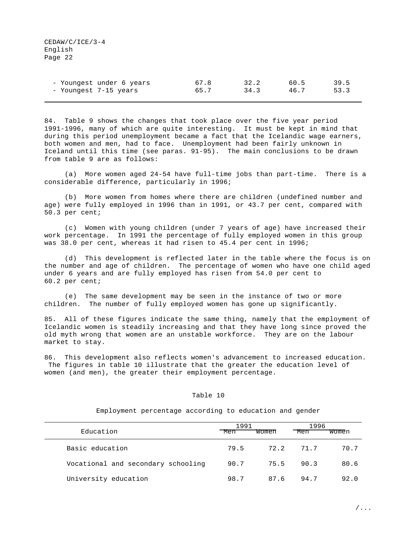| - Youngest under 6 years | 67.8 | 32.2 | 60.5 | 39.5 |
|--------------------------|------|------|------|------|
| - Youngest 7-15 years    | 65.7 | 34.3 | 46.7 | 53.3 |

84. Table 9 shows the changes that took place over the five year period 1991-1996, many of which are quite interesting. It must be kept in mind that during this period unemployment became a fact that the Icelandic wage earners, both women and men, had to face. Unemployment had been fairly unknown in Iceland until this time (see paras. 91-95). The main conclusions to be drawn from table 9 are as follows:

(a) More women aged 24-54 have full-time jobs than part-time. There is a considerable difference, particularly in 1996;

(b) More women from homes where there are children (undefined number and age) were fully employed in 1996 than in 1991, or 43.7 per cent, compared with 50.3 per cent;

(c) Women with young children (under 7 years of age) have increased their work percentage. In 1991 the percentage of fully employed women in this group was 38.0 per cent, whereas it had risen to 45.4 per cent in 1996;

(d) This development is reflected later in the table where the focus is on the number and age of children. The percentage of women who have one child aged under 6 years and are fully employed has risen from 54.0 per cent to 60.2 per cent;

(e) The same development may be seen in the instance of two or more children. The number of fully employed women has gone up significantly.

85. All of these figures indicate the same thing, namely that the employment of Icelandic women is steadily increasing and that they have long since proved the old myth wrong that women are an unstable workforce. They are on the labour market to stay.

86. This development also reflects women's advancement to increased education. The figures in table 10 illustrate that the greater the education level of women (and men), the greater their employment percentage.

## Table 10

Employment percentage according to education and gender

|                                    | 1991 |       | 1996      |       |
|------------------------------------|------|-------|-----------|-------|
| Education                          | Men  | Women | Men       | Women |
| Basic education                    | 79.5 |       | 72.2 71.7 | 70.7  |
| Vocational and secondary schooling | 90.7 | 75.5  | 90.3      | 80.6  |
| University education               | 98.7 | 87.6  | 94.7      | 92.0  |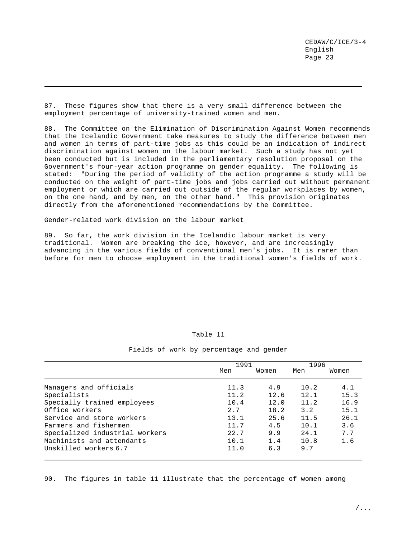87. These figures show that there is a very small difference between the employment percentage of university-trained women and men.

88. The Committee on the Elimination of Discrimination Against Women recommends that the Icelandic Government take measures to study the difference between men and women in terms of part-time jobs as this could be an indication of indirect discrimination against women on the labour market. Such a study has not yet been conducted but is included in the parliamentary resolution proposal on the Government's four-year action programme on gender equality. The following is stated: "During the period of validity of the action programme a study will be conducted on the weight of part-time jobs and jobs carried out without permanent employment or which are carried out outside of the regular workplaces by women, on the one hand, and by men, on the other hand." This provision originates directly from the aforementioned recommendations by the Committee.

## Gender-related work division on the labour market

89. So far, the work division in the Icelandic labour market is very traditional. Women are breaking the ice, however, and are increasingly advancing in the various fields of conventional men's jobs. It is rarer than before for men to choose employment in the traditional women's fields of work.

#### Table 11

#### Fields of work by percentage and gender

|                                | 1991 |       | 1996 |       |
|--------------------------------|------|-------|------|-------|
|                                | Men  | Women | Men  | Women |
| Managers and officials         | 11.3 | 4.9   | 10.2 | 4.1   |
| Specialists                    | 11.2 | 12.6  | 12.1 | 15.3  |
| Specially trained employees    | 10.4 | 12.0  | 11.2 | 16.9  |
| Office workers                 | 2.7  | 18.2  | 3.2  | 15.1  |
| Service and store workers      | 13.1 | 25.6  | 11.5 | 26.1  |
| Farmers and fishermen          | 11.7 | 4.5   | 10.1 | 3.6   |
| Specialized industrial workers | 22.7 | 9.9   | 24.1 | 7.7   |
| Machinists and attendants      | 10.1 | 1.4   | 10.8 | 1.6   |
| Unskilled workers 6.7          | 11.0 | 6.3   | 9.7  |       |

90. The figures in table 11 illustrate that the percentage of women among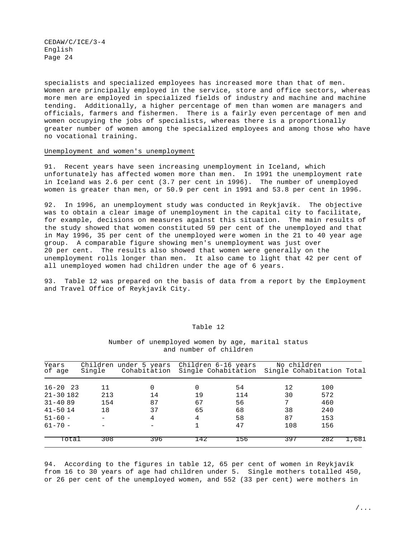specialists and specialized employees has increased more than that of men. Women are principally employed in the service, store and office sectors, whereas more men are employed in specialized fields of industry and machine and machine tending. Additionally, a higher percentage of men than women are managers and officials, farmers and fishermen. There is a fairly even percentage of men and women occupying the jobs of specialists, whereas there is a proportionally greater number of women among the specialized employees and among those who have no vocational training.

#### Unemployment and women's unemployment

91. Recent years have seen increasing unemployment in Iceland, which unfortunately has affected women more than men. In 1991 the unemployment rate in Iceland was 2.6 per cent (3.7 per cent in 1996). The number of unemployed women is greater than men, or 50.9 per cent in 1991 and 53.8 per cent in 1996.

92. In 1996, an unemployment study was conducted in Reykjavík. The objective was to obtain a clear image of unemployment in the capital city to facilitate, for example, decisions on measures against this situation. The main results of the study showed that women constituted 59 per cent of the unemployed and that in May 1996, 35 per cent of the unemployed were women in the 21 to 40 year age group. A comparable figure showing men's unemployment was just over 20 per cent. The results also showed that women were generally on the unemployment rolls longer than men. It also came to light that 42 per cent of all unemployed women had children under the age of 6 years.

93. Table 12 was prepared on the basis of data from a report by the Employment and Travel Office of Reykjavík City.

| Years<br>of age | Single | Children under 5 years<br>Cohabitation | Children 6-16 years |     | No children<br>Single Cohabitation Single Cohabitation Total |     |       |
|-----------------|--------|----------------------------------------|---------------------|-----|--------------------------------------------------------------|-----|-------|
| $16 - 20$ 23    | 11     | 0                                      | 0                   | 54  | 12                                                           | 100 |       |
| $21 - 30182$    | 213    | 14                                     | 19                  | 114 | 30                                                           | 572 |       |
| $31 - 4089$     | 154    | 87                                     | 67                  | 56  | 7                                                            | 460 |       |
| $41 - 5014$     | 18     | 37                                     | 65                  | 68  | 38                                                           | 240 |       |
| $51 - 60 -$     |        | 4                                      | 4                   | 58  | 87                                                           | 153 |       |
| $61 - 70 -$     |        |                                        |                     | 47  | 108                                                          | 156 |       |
| Total           | 308    | 396                                    | -42                 | 156 | 397                                                          | 282 | 1,681 |

#### Table 12

Number of unemployed women by age, marital status and number of children

94. According to the figures in table 12, 65 per cent of women in Reykjavík from 16 to 30 years of age had children under 5. Single mothers totalled 450, or 26 per cent of the unemployed women, and 552 (33 per cent) were mothers in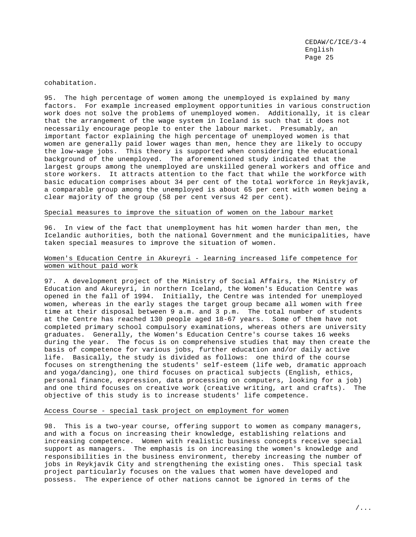cohabitation.

95. The high percentage of women among the unemployed is explained by many factors. For example increased employment opportunities in various construction work does not solve the problems of unemployed women. Additionally, it is clear that the arrangement of the wage system in Iceland is such that it does not necessarily encourage people to enter the labour market. Presumably, an important factor explaining the high percentage of unemployed women is that women are generally paid lower wages than men, hence they are likely to occupy the low-wage jobs. This theory is supported when considering the educational background of the unemployed. The aforementioned study indicated that the largest groups among the unemployed are unskilled general workers and office and store workers. It attracts attention to the fact that while the workforce with basic education comprises about 34 per cent of the total workforce in Reykjavík, a comparable group among the unemployed is about 65 per cent with women being a clear majority of the group (58 per cent versus 42 per cent).

## Special measures to improve the situation of women on the labour market

96. In view of the fact that unemployment has hit women harder than men, the Icelandic authorities, both the national Government and the municipalities, have taken special measures to improve the situation of women.

# Women's Education Centre in Akureyri - learning increased life competence for women without paid work

97. A development project of the Ministry of Social Affairs, the Ministry of Education and Akureyri, in northern Iceland, the Women's Education Centre was opened in the fall of 1994. Initially, the Centre was intended for unemployed women, whereas in the early stages the target group became all women with free time at their disposal between 9 a.m. and 3 p.m. The total number of students at the Centre has reached 130 people aged 18-67 years. Some of them have not completed primary school compulsory examinations, whereas others are university graduates. Generally, the Women's Education Centre's course takes 16 weeks during the year. The focus is on comprehensive studies that may then create the basis of competence for various jobs, further education and/or daily active life. Basically, the study is divided as follows: one third of the course focuses on strengthening the students' self-esteem (life web, dramatic approach and yoga/dancing), one third focuses on practical subjects (English, ethics, personal finance, expression, data processing on computers, looking for a job) and one third focuses on creative work (creative writing, art and crafts). The objective of this study is to increase students' life competence.

## Access Course - special task project on employment for women

98. This is a two-year course, offering support to women as company managers, and with a focus on increasing their knowledge, establishing relations and increasing competence. Women with realistic business concepts receive special support as managers. The emphasis is on increasing the women's knowledge and responsibilities in the business environment, thereby increasing the number of jobs in Reykjavík City and strengthening the existing ones. This special task project particularly focuses on the values that women have developed and possess. The experience of other nations cannot be ignored in terms of the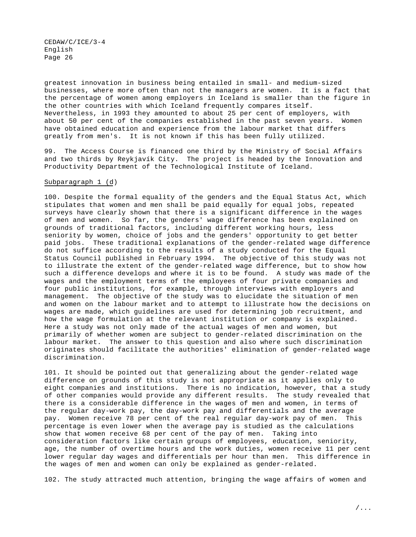greatest innovation in business being entailed in small- and medium-sized businesses, where more often than not the managers are women. It is a fact that the percentage of women among employers in Iceland is smaller than the figure in the other countries with which Iceland frequently compares itself. Nevertheless, in 1993 they amounted to about 25 per cent of employers, with about 50 per cent of the companies established in the past seven years. Women have obtained education and experience from the labour market that differs greatly from men's. It is not known if this has been fully utilized.

99. The Access Course is financed one third by the Ministry of Social Affairs and two thirds by Reykjavík City. The project is headed by the Innovation and Productivity Department of the Technological Institute of Iceland.

#### Subparagraph 1 (d)

100. Despite the formal equality of the genders and the Equal Status Act, which stipulates that women and men shall be paid equally for equal jobs, repeated surveys have clearly shown that there is a significant difference in the wages of men and women. So far, the genders' wage difference has been explained on grounds of traditional factors, including different working hours, less seniority by women, choice of jobs and the genders' opportunity to get better paid jobs. These traditional explanations of the gender-related wage difference do not suffice according to the results of a study conducted for the Equal Status Council published in February 1994. The objective of this study was not to illustrate the extent of the gender-related wage difference, but to show how such a difference develops and where it is to be found. A study was made of the wages and the employment terms of the employees of four private companies and four public institutions, for example, through interviews with employers and management. The objective of the study was to elucidate the situation of men and women on the labour market and to attempt to illustrate how the decisions on wages are made, which guidelines are used for determining job recruitment, and how the wage formulation at the relevant institution or company is explained. Here a study was not only made of the actual wages of men and women, but primarily of whether women are subject to gender-related discrimination on the labour market. The answer to this question and also where such discrimination originates should facilitate the authorities' elimination of gender-related wage discrimination.

101. It should be pointed out that generalizing about the gender-related wage difference on grounds of this study is not appropriate as it applies only to eight companies and institutions. There is no indication, however, that a study of other companies would provide any different results. The study revealed that there is a considerable difference in the wages of men and women, in terms of the regular day-work pay, the day-work pay and differentials and the average pay. Women receive 78 per cent of the real regular day-work pay of men. This percentage is even lower when the average pay is studied as the calculations show that women receive 68 per cent of the pay of men. Taking into consideration factors like certain groups of employees, education, seniority, age, the number of overtime hours and the work duties, women receive 11 per cent lower regular day wages and differentials per hour than men. This difference in the wages of men and women can only be explained as gender-related.

102. The study attracted much attention, bringing the wage affairs of women and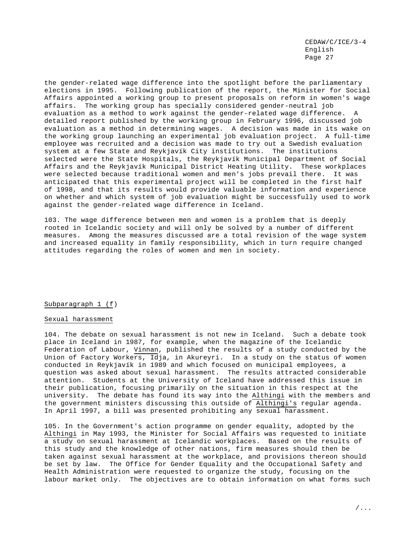the gender-related wage difference into the spotlight before the parliamentary elections in 1995. Following publication of the report, the Minister for Social Affairs appointed a working group to present proposals on reform in women's wage affairs. The working group has specially considered gender-neutral job evaluation as a method to work against the gender-related wage difference. detailed report published by the working group in February 1996, discussed job evaluation as a method in determining wages. A decision was made in its wake on the working group launching an experimental job evaluation project. A full-time employee was recruited and a decision was made to try out a Swedish evaluation system at a few State and Reykjavík City institutions. The institutions selected were the State Hospitals, the Reykjavík Municipal Department of Social Affairs and the Reykjavík Municipal District Heating Utility. These workplaces were selected because traditional women and men's jobs prevail there. It was anticipated that this experimental project will be completed in the first half of 1998, and that its results would provide valuable information and experience on whether and which system of job evaluation might be successfully used to work against the gender-related wage difference in Iceland.

103. The wage difference between men and women is a problem that is deeply rooted in Icelandic society and will only be solved by a number of different measures. Among the measures discussed are a total revision of the wage system and increased equality in family responsibility, which in turn require changed attitudes regarding the roles of women and men in society.

## Subparagraph 1 (f)

#### Sexual harassment

104. The debate on sexual harassment is not new in Iceland. Such a debate took place in Iceland in 1987, for example, when the magazine of the Icelandic Federation of Labour, Vinnan, published the results of a study conducted by the Union of Factory Workers, Idja, in Akureyri. In a study on the status of women conducted in Reykjavík in 1989 and which focused on municipal employees, a question was asked about sexual harassment. The results attracted considerable attention. Students at the University of Iceland have addressed this issue in their publication, focusing primarily on the situation in this respect at the university. The debate has found its way into the Althingi with the members and the government ministers discussing this outside of Althingi's regular agenda. In April 1997, a bill was presented prohibiting any sexual harassment.

105. In the Government's action programme on gender equality, adopted by the Althingi in May 1993, the Minister for Social Affairs was requested to initiate a study on sexual harassment at Icelandic workplaces. Based on the results of this study and the knowledge of other nations, firm measures should then be taken against sexual harassment at the workplace, and provisions thereon should be set by law. The Office for Gender Equality and the Occupational Safety and Health Administration were requested to organize the study, focusing on the labour market only. The objectives are to obtain information on what forms such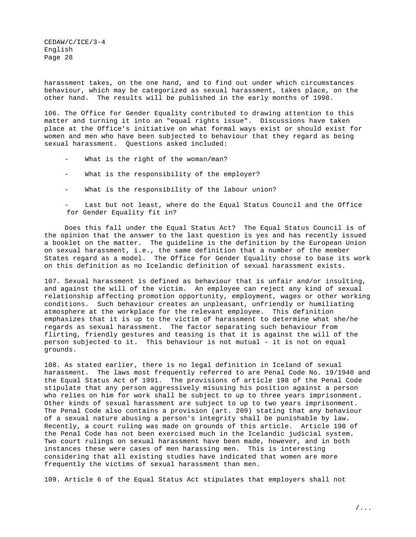harassment takes, on the one hand, and to find out under which circumstances behaviour, which may be categorized as sexual harassment, takes place, on the other hand. The results will be published in the early months of 1998.

106. The Office for Gender Equality contributed to drawing attention to this matter and turning it into an "equal rights issue". Discussions have taken place at the Office's initiative on what formal ways exist or should exist for women and men who have been subjected to behaviour that they regard as being sexual harassment. Questions asked included:

- What is the right of the woman/man?
- What is the responsibility of the employer?
- What is the responsibility of the labour union?

Last but not least, where do the Equal Status Council and the Office for Gender Equality fit in?

Does this fall under the Equal Status Act? The Equal Status Council is of the opinion that the answer to the last question is yes and has recently issued a booklet on the matter. The guideline is the definition by the European Union on sexual harassment, i.e., the same definition that a number of the member States regard as a model. The Office for Gender Equality chose to base its work on this definition as no Icelandic definition of sexual harassment exists.

107. Sexual harassment is defined as behaviour that is unfair and/or insulting, and against the will of the victim. An employee can reject any kind of sexual relationship affecting promotion opportunity, employment, wages or other working conditions. Such behaviour creates an unpleasant, unfriendly or humiliating atmosphere at the workplace for the relevant employee. This definition emphasizes that it is up to the victim of harassment to determine what she/he regards as sexual harassment. The factor separating such behaviour from flirting, friendly gestures and teasing is that it is against the will of the person subjected to it. This behaviour is not mutual - it is not on equal grounds.

108. As stated earlier, there is no legal definition in Iceland of sexual harassment. The laws most frequently referred to are Penal Code No. 19/1940 and the Equal Status Act of 1991. The provisions of article 198 of the Penal Code stipulate that any person aggressively misusing his position against a person who relies on him for work shall be subject to up to three years imprisonment. Other kinds of sexual harassment are subject to up to two years imprisonment. The Penal Code also contains a provision (art. 209) stating that any behaviour of a sexual nature abusing a person's integrity shall be punishable by law. Recently, a court ruling was made on grounds of this article. Article 198 of the Penal Code has not been exercised much in the Icelandic judicial system. Two court rulings on sexual harassment have been made, however, and in both instances these were cases of men harassing men. This is interesting considering that all existing studies have indicated that women are more frequently the victims of sexual harassment than men.

109. Article 6 of the Equal Status Act stipulates that employers shall not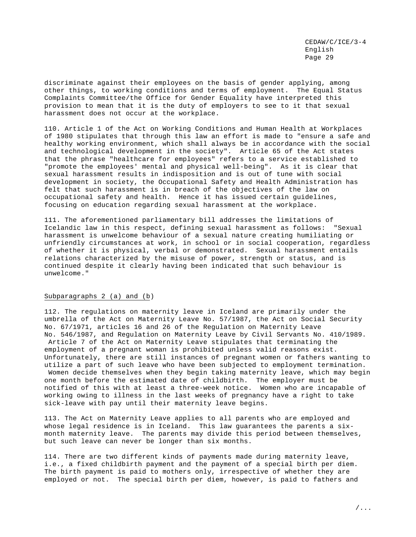discriminate against their employees on the basis of gender applying, among other things, to working conditions and terms of employment. The Equal Status Complaints Committee/the Office for Gender Equality have interpreted this provision to mean that it is the duty of employers to see to it that sexual harassment does not occur at the workplace.

110. Article 1 of the Act on Working Conditions and Human Health at Workplaces of 1980 stipulates that through this law an effort is made to "ensure a safe and healthy working environment, which shall always be in accordance with the social and technological development in the society". Article 65 of the Act states that the phrase "healthcare for employees" refers to a service established to "promote the employees' mental and physical well-being". As it is clear that sexual harassment results in indisposition and is out of tune with social development in society, the Occupational Safety and Health Administration has felt that such harassment is in breach of the objectives of the law on occupational safety and health. Hence it has issued certain guidelines, focusing on education regarding sexual harassment at the workplace.

111. The aforementioned parliamentary bill addresses the limitations of Icelandic law in this respect, defining sexual harassment as follows: "Sexual harassment is unwelcome behaviour of a sexual nature creating humiliating or unfriendly circumstances at work, in school or in social cooperation, regardless of whether it is physical, verbal or demonstrated. Sexual harassment entails relations characterized by the misuse of power, strength or status, and is continued despite it clearly having been indicated that such behaviour is unwelcome."

#### Subparagraphs 2 (a) and (b)

112. The regulations on maternity leave in Iceland are primarily under the umbrella of the Act on Maternity Leave No. 57/1987, the Act on Social Security No. 67/1971, articles 16 and 26 of the Regulation on Maternity Leave No. 546/1987, and Regulation on Maternity Leave by Civil Servants No. 410/1989. Article 7 of the Act on Maternity Leave stipulates that terminating the employment of a pregnant woman is prohibited unless valid reasons exist. Unfortunately, there are still instances of pregnant women or fathers wanting to utilize a part of such leave who have been subjected to employment termination. Women decide themselves when they begin taking maternity leave, which may begin one month before the estimated date of childbirth. The employer must be notified of this with at least a three-week notice. Women who are incapable of working owing to illness in the last weeks of pregnancy have a right to take sick-leave with pay until their maternity leave begins.

113. The Act on Maternity Leave applies to all parents who are employed and whose legal residence is in Iceland. This law guarantees the parents a sixmonth maternity leave. The parents may divide this period between themselves, but such leave can never be longer than six months.

114. There are two different kinds of payments made during maternity leave, i.e., a fixed childbirth payment and the payment of a special birth per diem. The birth payment is paid to mothers only, irrespective of whether they are employed or not. The special birth per diem, however, is paid to fathers and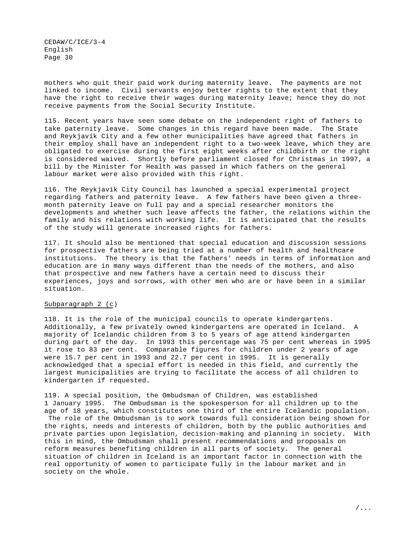mothers who quit their paid work during maternity leave. The payments are not linked to income. Civil servants enjoy better rights to the extent that they have the right to receive their wages during maternity leave; hence they do not receive payments from the Social Security Institute.

115. Recent years have seen some debate on the independent right of fathers to take paternity leave. Some changes in this regard have been made. The State and Reykjavík City and a few other municipalities have agreed that fathers in their employ shall have an independent right to a two-week leave, which they are obligated to exercise during the first eight weeks after childbirth or the right is considered waived. Shortly before parliament closed for Christmas in 1997, a bill by the Minister for Health was passed in which fathers on the general labour market were also provided with this right.

116. The Reykjavík City Council has launched a special experimental project regarding fathers and paternity leave. A few fathers have been given a threemonth paternity leave on full pay and a special researcher monitors the developments and whether such leave affects the father, the relations within the family and his relations with working life. It is anticipated that the results of the study will generate increased rights for fathers.

117. It should also be mentioned that special education and discussion sessions for prospective fathers are being tried at a number of health and healthcare institutions. The theory is that the fathers' needs in terms of information and education are in many ways different than the needs of the mothers, and also that prospective and new fathers have a certain need to discuss their experiences, joys and sorrows, with other men who are or have been in a similar situation.

## Subparagraph 2 (c)

118. It is the role of the municipal councils to operate kindergartens. Additionally, a few privately owned kindergartens are operated in Iceland. A majority of Icelandic children from 3 to 5 years of age attend kindergarten during part of the day. In 1993 this percentage was 75 per cent whereas in 1995 it rose to 83 per cent. Comparable figures for children under 2 years of age were 15.7 per cent in 1993 and 22.7 per cent in 1995. It is generally acknowledged that a special effort is needed in this field, and currently the largest municipalities are trying to facilitate the access of all children to kindergarten if requested.

119. A special position, the Ombudsman of Children, was established 1 January 1995. The Ombudsman is the spokesperson for all children up to the age of 18 years, which constitutes one third of the entire Icelandic population. The role of the Ombudsman is to work towards full consideration being shown for the rights, needs and interests of children, both by the public authorities and private parties upon legislation, decision-making and planning in society. With this in mind, the Ombudsman shall present recommendations and proposals on reform measures benefiting children in all parts of society. The general situation of children in Iceland is an important factor in connection with the real opportunity of women to participate fully in the labour market and in society on the whole.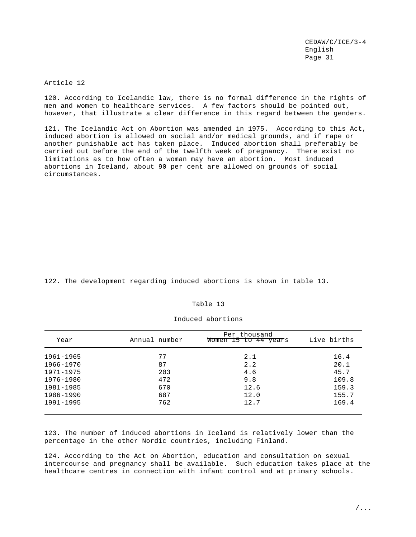Article 12

120. According to Icelandic law, there is no formal difference in the rights of men and women to healthcare services. A few factors should be pointed out, however, that illustrate a clear difference in this regard between the genders.

121. The Icelandic Act on Abortion was amended in 1975. According to this Act, induced abortion is allowed on social and/or medical grounds, and if rape or another punishable act has taken place. Induced abortion shall preferably be carried out before the end of the twelfth week of pregnancy. There exist no limitations as to how often a woman may have an abortion. Most induced abortions in Iceland, about 90 per cent are allowed on grounds of social circumstances.

122. The development regarding induced abortions is shown in table 13.

## Table 13

| Year      | Annual number | Per thousand<br>Women 15 to 44 years | Live births |
|-----------|---------------|--------------------------------------|-------------|
| 1961-1965 | 77            | 2.1                                  | 16.4        |
| 1966-1970 | 87            | 2.2                                  | 20.1        |
| 1971-1975 | 203           | 4.6                                  | 45.7        |
| 1976-1980 | 472           | 9.8                                  | 109.8       |
| 1981-1985 | 670           | 12.6                                 | 159.3       |
| 1986-1990 | 687           | 12.0                                 | 155.7       |
| 1991-1995 | 762           | 12.7                                 | 169.4       |

#### Induced abortions

123. The number of induced abortions in Iceland is relatively lower than the percentage in the other Nordic countries, including Finland.

124. According to the Act on Abortion, education and consultation on sexual intercourse and pregnancy shall be available. Such education takes place at the healthcare centres in connection with infant control and at primary schools.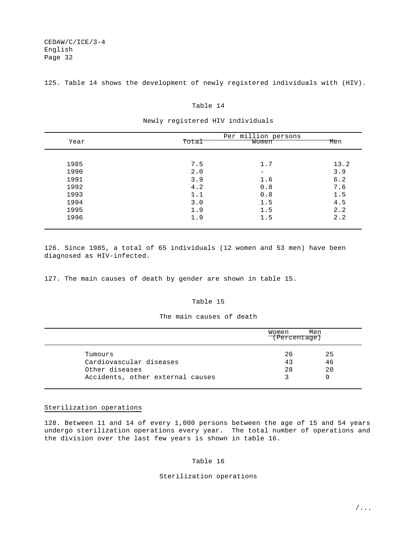125. Table 14 shows the development of newly registered individuals with (HIV).

#### Table 14

|      |       | Per million persons |      |
|------|-------|---------------------|------|
| Year | Total | Women               | Men  |
| 1985 | 7.5   | 1.7                 | 13.2 |
| 1990 | 2.0   | -                   | 3.9  |
| 1991 | 3.9   | 1.6                 | 6.2  |
| 1992 | 4.2   | 0.8                 | 7.6  |
| 1993 | 1.1   | 0.8                 | 1.5  |
| 1994 | 3.0   | 1.5                 | 4.5  |
| 1995 | 1.9   | 1.5                 | 2.2  |
| 1996 | 1.9   | 1.5                 | 2.2  |

#### Newly registered HIV individuals

126. Since 1985, a total of 65 individuals (12 women and 53 men) have been diagnosed as HIV-infected.

127. The main causes of death by gender are shown in table 15.

# Table 15

## The main causes of death

|                                                      | Women<br>(Percentage) | Men            |
|------------------------------------------------------|-----------------------|----------------|
| Tumours<br>Cardiovascular diseases<br>Other diseases | 26<br>43<br>28        | 25<br>46<br>20 |
| Accidents, other external causes                     |                       |                |

# Sterilization operations

128. Between 11 and 14 of every 1,000 persons between the age of 15 and 54 years undergo sterilization operations every year. The total number of operations and the division over the last few years is shown in table 16.

# Table 16

#### Sterilization operations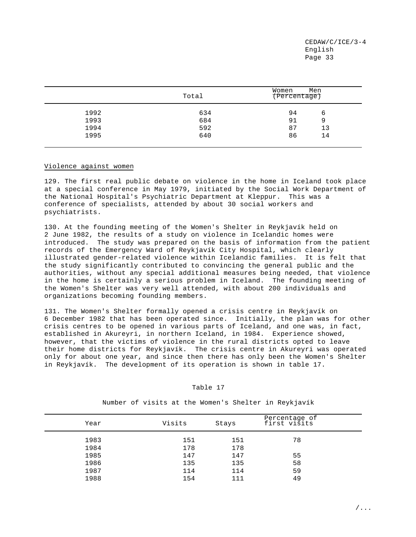|      | Total | Men<br>Women<br>(Percentage) |
|------|-------|------------------------------|
| 1992 | 634   | 94<br>6                      |
| 1993 | 684   | 91<br>9                      |
| 1994 | 592   | 87<br>13                     |
| 1995 | 640   | 86<br>14                     |
|      |       |                              |

## Violence against women

129. The first real public debate on violence in the home in Iceland took place at a special conference in May 1979, initiated by the Social Work Department of the National Hospital's Psychiatric Department at Kleppur. This was a conference of specialists, attended by about 30 social workers and psychiatrists.

130. At the founding meeting of the Women's Shelter in Reykjavík held on 2 June 1982, the results of a study on violence in Icelandic homes were introduced. The study was prepared on the basis of information from the patient records of the Emergency Ward of Reykjavík City Hospital, which clearly illustrated gender-related violence within Icelandic families. It is felt that the study significantly contributed to convincing the general public and the authorities, without any special additional measures being needed, that violence in the home is certainly a serious problem in Iceland. The founding meeting of the Women's Shelter was very well attended, with about 200 individuals and organizations becoming founding members.

131. The Women's Shelter formally opened a crisis centre in Reykjavík on 6 December 1982 that has been operated since. Initially, the plan was for other crisis centres to be opened in various parts of Iceland, and one was, in fact, established in Akureyri, in northern Iceland, in 1984. Experience showed, however, that the victims of violence in the rural districts opted to leave their home districts for Reykjavík. The crisis centre in Akureyri was operated only for about one year, and since then there has only been the Women's Shelter in Reykjavík. The development of its operation is shown in table 17.

| Year | Visits | Stays | Percentage of<br>first visits |  |
|------|--------|-------|-------------------------------|--|
| 1983 | 151    | 151   | 78                            |  |
| 1984 | 178    | 178   |                               |  |
| 1985 | 147    | 147   | 55                            |  |
| 1986 | 135    | 135   | 58                            |  |
| 1987 | 114    | 114   | 59                            |  |
| 1988 | 154    | 111   | 49                            |  |
|      |        |       |                               |  |

## Table 17

Number of visits at the Women's Shelter in Reykjavík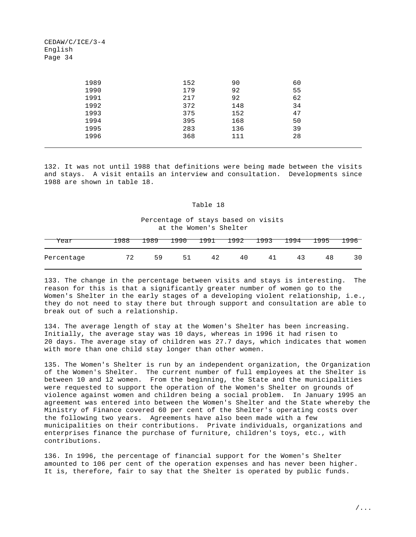| 1989 | 152 | 90  | 60 |
|------|-----|-----|----|
| 1990 | 179 | 92  | 55 |
| 1991 | 217 | 92  | 62 |
| 1992 | 372 | 148 | 34 |
| 1993 | 375 | 152 | 47 |
| 1994 | 395 | 168 | 50 |
| 1995 | 283 | 136 | 39 |
| 1996 | 368 | 111 | 28 |
|      |     |     |    |

132. It was not until 1988 that definitions were being made between the visits and stays. A visit entails an interview and consultation. Developments since 1988 are shown in table 18.

## Table 18

# Percentage of stays based on visits at the Women's Shelter

| Year       | .988 | -989 | 1990 |    | 1991 1992 | 1993 1994 |    | 1995 | 1996 |
|------------|------|------|------|----|-----------|-----------|----|------|------|
| Percentage | △    | 59   | 51   | 42 | 40        | 41        | 43 | 48   | 30   |

133. The change in the percentage between visits and stays is interesting. The reason for this is that a significantly greater number of women go to the Women's Shelter in the early stages of a developing violent relationship, i.e., they do not need to stay there but through support and consultation are able to break out of such a relationship.

134. The average length of stay at the Women's Shelter has been increasing. Initially, the average stay was 10 days, whereas in 1996 it had risen to 20 days. The average stay of children was 27.7 days, which indicates that women with more than one child stay longer than other women.

135. The Women's Shelter is run by an independent organization, the Organization of the Women's Shelter. The current number of full employees at the Shelter is between 10 and 12 women. From the beginning, the State and the municipalities were requested to support the operation of the Women's Shelter on grounds of violence against women and children being a social problem. In January 1995 an agreement was entered into between the Women's Shelter and the State whereby the Ministry of Finance covered 60 per cent of the Shelter's operating costs over the following two years. Agreements have also been made with a few municipalities on their contributions. Private individuals, organizations and enterprises finance the purchase of furniture, children's toys, etc., with contributions.

136. In 1996, the percentage of financial support for the Women's Shelter amounted to 106 per cent of the operation expenses and has never been higher. It is, therefore, fair to say that the Shelter is operated by public funds.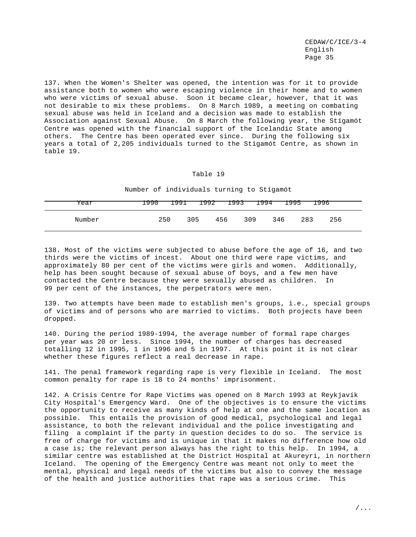137. When the Women's Shelter was opened, the intention was for it to provide assistance both to women who were escaping violence in their home and to women who were victims of sexual abuse. Soon it became clear, however, that it was not desirable to mix these problems. On 8 March 1989, a meeting on combating sexual abuse was held in Iceland and a decision was made to establish the Association against Sexual Abuse. On 8 March the following year, the Stígamót Centre was opened with the financial support of the Icelandic State among others. The Centre has been operated ever since. During the following six years a total of 2,205 individuals turned to the Stígamót Centre, as shown in table 19.

#### Table 19

Number of individuals turning to Stígamót

| Year   | T990 |     |            |     | 1991 1992 1993 1994 1995 1996 |     |
|--------|------|-----|------------|-----|-------------------------------|-----|
| Number | 250  | 305 | 309<br>456 | 346 | 283                           | 256 |

138. Most of the victims were subjected to abuse before the age of 16, and two thirds were the victims of incest. About one third were rape victims, and approximately 80 per cent of the victims were girls and women. Additionally, help has been sought because of sexual abuse of boys, and a few men have contacted the Centre because they were sexually abused as children. In 99 per cent of the instances, the perpetrators were men.

139. Two attempts have been made to establish men's groups, i.e., special groups of victims and of persons who are married to victims. Both projects have been dropped.

140. During the period 1989-1994, the average number of formal rape charges per year was 20 or less. Since 1994, the number of charges has decreased totalling 12 in 1995, 1 in 1996 and 5 in 1997. At this point it is not clear whether these figures reflect a real decrease in rape.

141. The penal framework regarding rape is very flexible in Iceland. The most common penalty for rape is 18 to 24 months' imprisonment.

142. A Crisis Centre for Rape Victims was opened on 8 March 1993 at Reykjavík City Hospital's Emergency Ward. One of the objectives is to ensure the victims the opportunity to receive as many kinds of help at one and the same location as possible. This entails the provision of good medical, psychological and legal assistance, to both the relevant individual and the police investigating and filing a complaint if the party in question decides to do so. The service is free of charge for victims and is unique in that it makes no difference how old a case is; the relevant person always has the right to this help. In 1994, a similar centre was established at the District Hospital at Akureyri, in northern Iceland. The opening of the Emergency Centre was meant not only to meet the mental, physical and legal needs of the victims but also to convey the message of the health and justice authorities that rape was a serious crime. This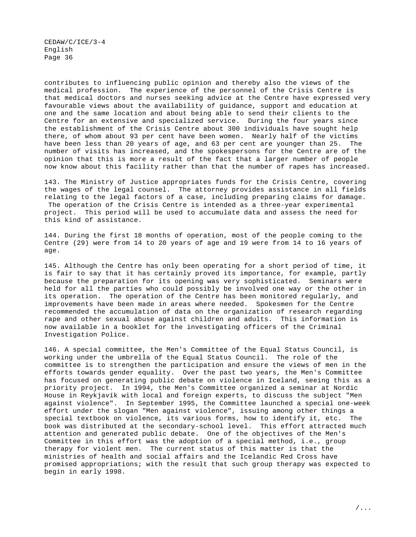contributes to influencing public opinion and thereby also the views of the medical profession. The experience of the personnel of the Crisis Centre is that medical doctors and nurses seeking advice at the Centre have expressed very favourable views about the availability of guidance, support and education at one and the same location and about being able to send their clients to the Centre for an extensive and specialized service. During the four years since the establishment of the Crisis Centre about 300 individuals have sought help there, of whom about 93 per cent have been women. Nearly half of the victims have been less than 20 years of age, and 63 per cent are younger than 25. The number of visits has increased, and the spokespersons for the Centre are of the opinion that this is more a result of the fact that a larger number of people now know about this facility rather than that the number of rapes has increased.

143. The Ministry of Justice appropriates funds for the Crisis Centre, covering the wages of the legal counsel. The attorney provides assistance in all fields relating to the legal factors of a case, including preparing claims for damage. The operation of the Crisis Centre is intended as a three-year experimental project. This period will be used to accumulate data and assess the need for this kind of assistance.

144. During the first 18 months of operation, most of the people coming to the Centre (29) were from 14 to 20 years of age and 19 were from 14 to 16 years of age.

145. Although the Centre has only been operating for a short period of time, it is fair to say that it has certainly proved its importance, for example, partly because the preparation for its opening was very sophisticated. Seminars were held for all the parties who could possibly be involved one way or the other in its operation. The operation of the Centre has been monitored regularly, and improvements have been made in areas where needed. Spokesmen for the Centre recommended the accumulation of data on the organization of research regarding rape and other sexual abuse against children and adults. This information is now available in a booklet for the investigating officers of the Criminal Investigation Police.

146. A special committee, the Men's Committee of the Equal Status Council, is working under the umbrella of the Equal Status Council. The role of the committee is to strengthen the participation and ensure the views of men in the efforts towards gender equality. Over the past two years, the Men's Committee has focused on generating public debate on violence in Iceland, seeing this as a priority project. In 1994, the Men's Committee organized a seminar at Nordic House in Reykjavík with local and foreign experts, to discuss the subject "Men against violence". In September 1995, the Committee launched a special one-week effort under the slogan "Men against violence", issuing among other things a special textbook on violence, its various forms, how to identify it, etc. The book was distributed at the secondary-school level. This effort attracted much attention and generated public debate. One of the objectives of the Men's Committee in this effort was the adoption of a special method, i.e., group therapy for violent men. The current status of this matter is that the ministries of health and social affairs and the Icelandic Red Cross have promised appropriations; with the result that such group therapy was expected to begin in early 1998.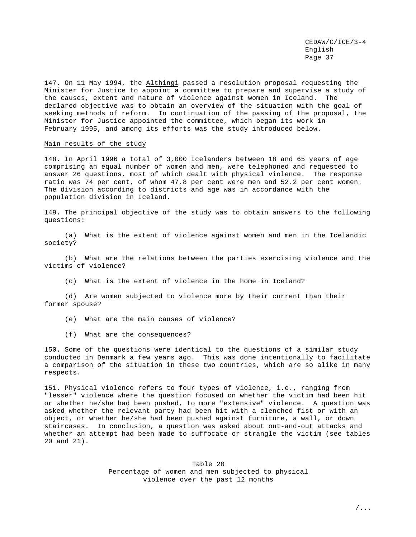147. On 11 May 1994, the Althingi passed a resolution proposal requesting the Minister for Justice to appoint a committee to prepare and supervise a study of the causes, extent and nature of violence against women in Iceland. The declared objective was to obtain an overview of the situation with the goal of seeking methods of reform. In continuation of the passing of the proposal, the Minister for Justice appointed the committee, which began its work in February 1995, and among its efforts was the study introduced below.

#### Main results of the study

148. In April 1996 a total of 3,000 Icelanders between 18 and 65 years of age comprising an equal number of women and men, were telephoned and requested to answer 26 questions, most of which dealt with physical violence. The response ratio was 74 per cent, of whom 47.8 per cent were men and 52.2 per cent women. The division according to districts and age was in accordance with the population division in Iceland.

149. The principal objective of the study was to obtain answers to the following questions:

(a) What is the extent of violence against women and men in the Icelandic society?

(b) What are the relations between the parties exercising violence and the victims of violence?

(c) What is the extent of violence in the home in Iceland?

(d) Are women subjected to violence more by their current than their former spouse?

- (e) What are the main causes of violence?
- (f) What are the consequences?

150. Some of the questions were identical to the questions of a similar study conducted in Denmark a few years ago. This was done intentionally to facilitate a comparison of the situation in these two countries, which are so alike in many respects.

151. Physical violence refers to four types of violence, i.e., ranging from "lesser" violence where the question focused on whether the victim had been hit or whether he/she had been pushed, to more "extensive" violence. A question was asked whether the relevant party had been hit with a clenched fist or with an object, or whether he/she had been pushed against furniture, a wall, or down staircases. In conclusion, a question was asked about out-and-out attacks and whether an attempt had been made to suffocate or strangle the victim (see tables 20 and 21).

> Table 20 Percentage of women and men subjected to physical violence over the past 12 months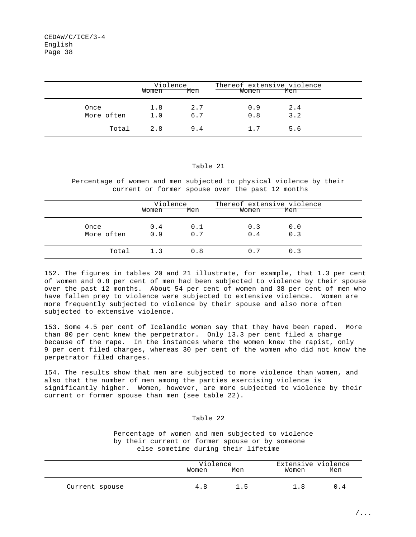|                    | Violence<br>Women | Men        | Thereof extensive violence<br>Women | Men        |  |
|--------------------|-------------------|------------|-------------------------------------|------------|--|
| Once<br>More often | 1.8<br>1.0        | 2.7<br>6.7 | 0.9<br>0.8                          | 2.4<br>3.2 |  |
| Total              | 2.8               | 9.4        |                                     | 5.6        |  |

## Table 21

Percentage of women and men subjected to physical violence by their current or former spouse over the past 12 months

|                    | Violence<br>Women | Men        | Thereof extensive violence<br>Women | Men        |  |
|--------------------|-------------------|------------|-------------------------------------|------------|--|
| Once<br>More often | 0.4<br>0.9        | 0.1<br>0.7 | 0.3<br>0.4                          | 0.0<br>0.3 |  |
| Total              | 1.3               | 0.8        | 0.7                                 | 0.3        |  |

152. The figures in tables 20 and 21 illustrate, for example, that 1.3 per cent of women and 0.8 per cent of men had been subjected to violence by their spouse over the past 12 months. About 54 per cent of women and 38 per cent of men who have fallen prey to violence were subjected to extensive violence. Women are more frequently subjected to violence by their spouse and also more often subjected to extensive violence.

153. Some 4.5 per cent of Icelandic women say that they have been raped. More than 80 per cent knew the perpetrator. Only 13.3 per cent filed a charge because of the rape. In the instances where the women knew the rapist, only 9 per cent filed charges, whereas 30 per cent of the women who did not know the perpetrator filed charges.

154. The results show that men are subjected to more violence than women, and also that the number of men among the parties exercising violence is significantly higher. Women, however, are more subjected to violence by their current or former spouse than men (see table 22).

## Table 22

 Percentage of women and men subjected to violence by their current or former spouse or by someone else sometime during their lifetime

|                | Violence |     | Extensive violence |     |  |
|----------------|----------|-----|--------------------|-----|--|
|                | Women    | Men | Women              | Men |  |
| Current spouse | 4 R      | ה י |                    |     |  |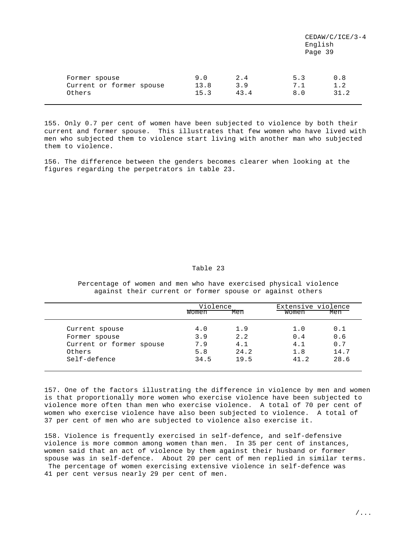|                                           |             |            |            | $CEDAW/C/ICE/3-4$<br>English<br>Page 39 |
|-------------------------------------------|-------------|------------|------------|-----------------------------------------|
| Former spouse<br>Current or former spouse | 9.0<br>13.8 | 2.4<br>3.9 | 5.3<br>7.1 | 0.8<br>1.2                              |
| Others                                    | 15.3        | 43.4       | 8.0        | 31.2                                    |

155. Only 0.7 per cent of women have been subjected to violence by both their current and former spouse. This illustrates that few women who have lived with men who subjected them to violence start living with another man who subjected them to violence.

156. The difference between the genders becomes clearer when looking at the figures regarding the perpetrators in table 23.

## Table 23

Percentage of women and men who have exercised physical violence against their current or former spouse or against others

|                          | Violence |      | Extensive violence |      |
|--------------------------|----------|------|--------------------|------|
|                          | Women    | Men  | Women              | Men  |
| Current spouse           | 4.0      | 1.9  | 1.0                | 0.1  |
| Former spouse            | 3.9      | 2.2  | 0.4                | 0.6  |
| Current or former spouse | 7.9      | 4.1  | 4.1                | 0.7  |
| Others                   | 5.8      | 24.2 | 1.8                | 14.7 |
| Self-defence             | 34.5     | 19.5 | 41.2               | 28.6 |
|                          |          |      |                    |      |

157. One of the factors illustrating the difference in violence by men and women is that proportionally more women who exercise violence have been subjected to violence more often than men who exercise violence. A total of 70 per cent of women who exercise violence have also been subjected to violence. A total of 37 per cent of men who are subjected to violence also exercise it.

158. Violence is frequently exercised in self-defence, and self-defensive violence is more common among women than men. In 35 per cent of instances, women said that an act of violence by them against their husband or former spouse was in self-defence. About 20 per cent of men replied in similar terms. The percentage of women exercising extensive violence in self-defence was 41 per cent versus nearly 29 per cent of men.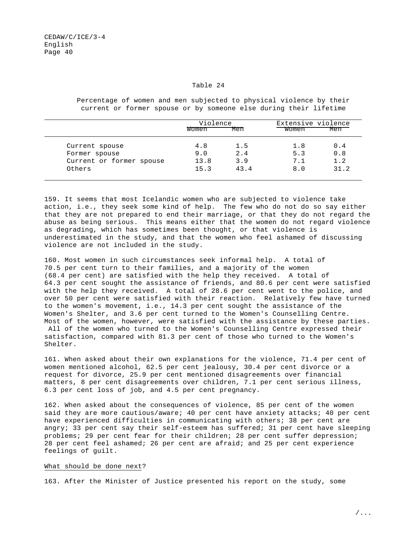#### Table 24

|                          | Violence |      | Extensive violence |      |
|--------------------------|----------|------|--------------------|------|
|                          | Women    | Men  | Women              | Men  |
| Current spouse           | 4.8      | 1.5  | 1.8                | 0.4  |
| Former spouse            | 9.0      | 2.4  | 5.3                | 0.8  |
| Current or former spouse | 13.8     | 3.9  | 7.1                | 1.2  |
| Others                   | 15.3     | 43.4 | 8.0                | 31.2 |

 Percentage of women and men subjected to physical violence by their current or former spouse or by someone else during their lifetime

159. It seems that most Icelandic women who are subjected to violence take action, i.e., they seek some kind of help. The few who do not do so say either that they are not prepared to end their marriage, or that they do not regard the abuse as being serious. This means either that the women do not regard violence as degrading, which has sometimes been thought, or that violence is underestimated in the study, and that the women who feel ashamed of discussing violence are not included in the study.

160. Most women in such circumstances seek informal help. A total of 70.5 per cent turn to their families, and a majority of the women (68.4 per cent) are satisfied with the help they received. A total of 64.3 per cent sought the assistance of friends, and 80.6 per cent were satisfied with the help they received. A total of 28.6 per cent went to the police, and over 50 per cent were satisfied with their reaction. Relatively few have turned to the women's movement, i.e., 14.3 per cent sought the assistance of the Women's Shelter, and 3.6 per cent turned to the Women's Counselling Centre. Most of the women, however, were satisfied with the assistance by these parties. All of the women who turned to the Women's Counselling Centre expressed their satisfaction, compared with 81.3 per cent of those who turned to the Women's Shelter.

161. When asked about their own explanations for the violence, 71.4 per cent of women mentioned alcohol, 62.5 per cent jealousy, 30.4 per cent divorce or a request for divorce, 25.9 per cent mentioned disagreements over financial matters, 8 per cent disagreements over children, 7.1 per cent serious illness, 6.3 per cent loss of job, and 4.5 per cent pregnancy.

162. When asked about the consequences of violence, 85 per cent of the women said they are more cautious/aware; 40 per cent have anxiety attacks; 40 per cent have experienced difficulties in communicating with others; 38 per cent are angry; 33 per cent say their self-esteem has suffered; 31 per cent have sleeping problems; 29 per cent fear for their children; 28 per cent suffer depression; 28 per cent feel ashamed; 26 per cent are afraid; and 25 per cent experience feelings of guilt.

#### What should be done next?

163. After the Minister of Justice presented his report on the study, some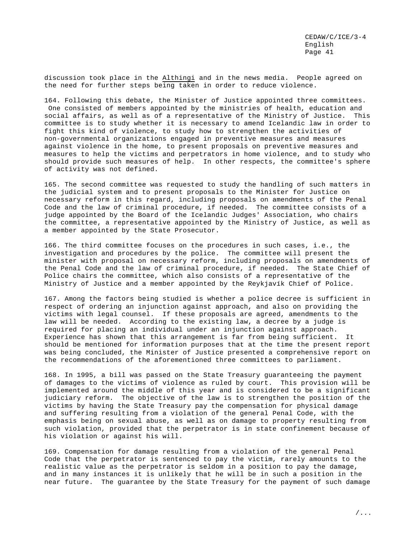discussion took place in the Althingi and in the news media. People agreed on the need for further steps being taken in order to reduce violence.

164. Following this debate, the Minister of Justice appointed three committees. One consisted of members appointed by the ministries of health, education and social affairs, as well as of a representative of the Ministry of Justice. This committee is to study whether it is necessary to amend Icelandic law in order to fight this kind of violence, to study how to strengthen the activities of non-governmental organizations engaged in preventive measures and measures against violence in the home, to present proposals on preventive measures and measures to help the victims and perpetrators in home violence, and to study who should provide such measures of help. In other respects, the committee's sphere of activity was not defined.

165. The second committee was requested to study the handling of such matters in the judicial system and to present proposals to the Minister for Justice on necessary reform in this regard, including proposals on amendments of the Penal Code and the law of criminal procedure, if needed. The committee consists of a judge appointed by the Board of the Icelandic Judges' Association, who chairs the committee, a representative appointed by the Ministry of Justice, as well as a member appointed by the State Prosecutor.

166. The third committee focuses on the procedures in such cases, i.e., the investigation and procedures by the police. The committee will present the minister with proposal on necessary reform, including proposals on amendments of the Penal Code and the law of criminal procedure, if needed. The State Chief of Police chairs the committee, which also consists of a representative of the Ministry of Justice and a member appointed by the Reykjavík Chief of Police.

167. Among the factors being studied is whether a police decree is sufficient in respect of ordering an injunction against approach, and also on providing the victims with legal counsel. If these proposals are agreed, amendments to the law will be needed. According to the existing law, a decree by a judge is required for placing an individual under an injunction against approach. Experience has shown that this arrangement is far from being sufficient. It should be mentioned for information purposes that at the time the present report was being concluded, the Minister of Justice presented a comprehensive report on the recommendations of the aforementioned three committees to parliament.

168. In 1995, a bill was passed on the State Treasury guaranteeing the payment of damages to the victims of violence as ruled by court. This provision will be implemented around the middle of this year and is considered to be a significant judiciary reform. The objective of the law is to strengthen the position of the victims by having the State Treasury pay the compensation for physical damage and suffering resulting from a violation of the general Penal Code, with the emphasis being on sexual abuse, as well as on damage to property resulting from such violation, provided that the perpetrator is in state confinement because of his violation or against his will.

169. Compensation for damage resulting from a violation of the general Penal Code that the perpetrator is sentenced to pay the victim, rarely amounts to the realistic value as the perpetrator is seldom in a position to pay the damage, and in many instances it is unlikely that he will be in such a position in the near future. The guarantee by the State Treasury for the payment of such damage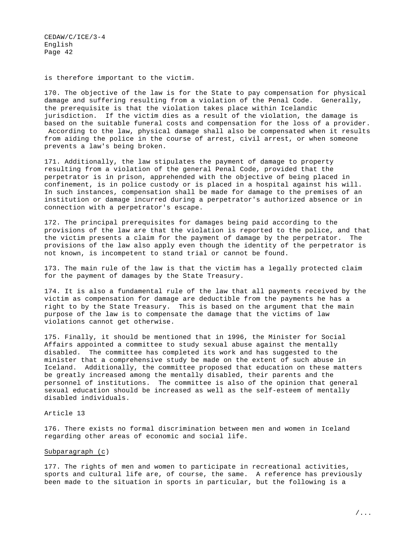is therefore important to the victim.

170. The objective of the law is for the State to pay compensation for physical damage and suffering resulting from a violation of the Penal Code. Generally, the prerequisite is that the violation takes place within Icelandic jurisdiction. If the victim dies as a result of the violation, the damage is based on the suitable funeral costs and compensation for the loss of a provider. According to the law, physical damage shall also be compensated when it results from aiding the police in the course of arrest, civil arrest, or when someone prevents a law's being broken.

171. Additionally, the law stipulates the payment of damage to property resulting from a violation of the general Penal Code, provided that the perpetrator is in prison, apprehended with the objective of being placed in confinement, is in police custody or is placed in a hospital against his will. In such instances, compensation shall be made for damage to the premises of an institution or damage incurred during a perpetrator's authorized absence or in connection with a perpetrator's escape.

172. The principal prerequisites for damages being paid according to the provisions of the law are that the violation is reported to the police, and that the victim presents a claim for the payment of damage by the perpetrator. The provisions of the law also apply even though the identity of the perpetrator is not known, is incompetent to stand trial or cannot be found.

173. The main rule of the law is that the victim has a legally protected claim for the payment of damages by the State Treasury.

174. It is also a fundamental rule of the law that all payments received by the victim as compensation for damage are deductible from the payments he has a right to by the State Treasury. This is based on the argument that the main purpose of the law is to compensate the damage that the victims of law violations cannot get otherwise.

175. Finally, it should be mentioned that in 1996, the Minister for Social Affairs appointed a committee to study sexual abuse against the mentally disabled. The committee has completed its work and has suggested to the minister that a comprehensive study be made on the extent of such abuse in Iceland. Additionally, the committee proposed that education on these matters be greatly increased among the mentally disabled, their parents and the personnel of institutions. The committee is also of the opinion that general sexual education should be increased as well as the self-esteem of mentally disabled individuals.

## Article 13

176. There exists no formal discrimination between men and women in Iceland regarding other areas of economic and social life.

#### Subparagraph (c)

177. The rights of men and women to participate in recreational activities, sports and cultural life are, of course, the same. A reference has previously been made to the situation in sports in particular, but the following is a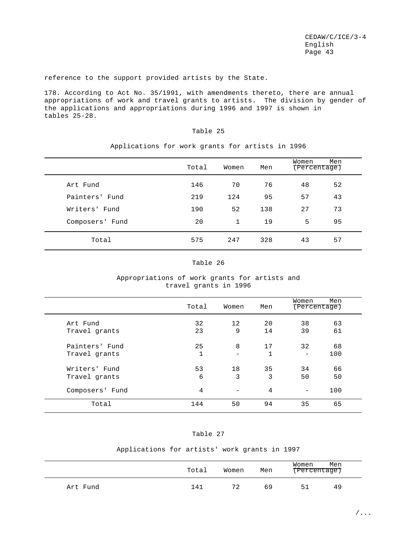reference to the support provided artists by the State.

178. According to Act No. 35/1991, with amendments thereto, there are annual appropriations of work and travel grants to artists. The division by gender of the applications and appropriations during 1996 and 1997 is shown in tables 25-28.

# Table 25

|                 | Total | Women | Men | Women<br>(Percentage) | Men |
|-----------------|-------|-------|-----|-----------------------|-----|
| Art Fund        | 146   | 70    | 76  | 48                    | 52  |
| Painters' Fund  | 219   | 124   | 95  | 57                    | 43  |
| Writers' Fund   | 190   | 52    | 138 | 27                    | 73  |
| Composers' Fund | 20    | 1     | 19  | 5                     | 95  |
| Total           | 575   | 247   | 328 | 43                    | 57  |

# Applications for work grants for artists in 1996

#### Table 26

# Appropriations of work grants for artists and travel grants in 1996

|                 | Total        | Women | Men | Women<br>(Percentage)        | Men |
|-----------------|--------------|-------|-----|------------------------------|-----|
| Art Fund        | 32           | 12    | 20  | 38                           | 63  |
| Travel grants   | 23           | 9     | 14  | 39                           | 61  |
| Painters' Fund  | 25           | 8     | 17  | 32                           | 68  |
| Travel grants   | $\mathbf{1}$ | -     | 1   | $\qquad \qquad \blacksquare$ | 100 |
| Writers' Fund   | 53           | 18    | 35  | 34                           | 66  |
| Travel grants   | 6            | 3     | 3   | 50                           | 50  |
| Composers' Fund | 4            | -     | 4   |                              | 100 |
| Total           | 144          | 50    | 94  | 35                           | 65  |

# Table 27

## Applications for artists' work grants in 1997

|          | Total | Women | Men | Women<br>(Percentage) | Men |  |
|----------|-------|-------|-----|-----------------------|-----|--|
| Art Fund | 141   | 72    | 69  | 51                    | 49  |  |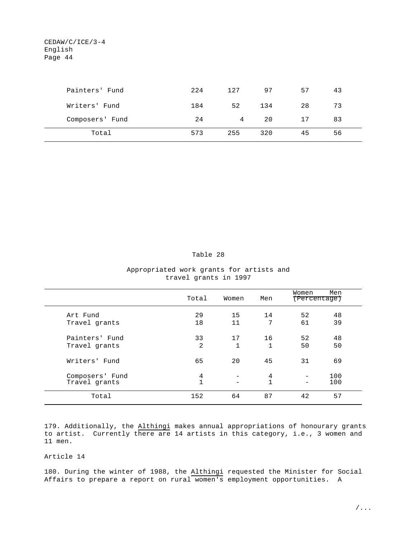| Painters' Fund  | 224 | 127 | 97  | 57 | 43 |  |
|-----------------|-----|-----|-----|----|----|--|
| Writers' Fund   | 184 | 52  | 134 | 28 | 73 |  |
| Composers' Fund | 24  | 4   | 20  | 17 | 83 |  |
| Total           | 573 | 255 | 320 | 45 | 56 |  |

Table 28

| Appropriated work grants for artists and |                       |  |  |
|------------------------------------------|-----------------------|--|--|
|                                          | travel grants in 1997 |  |  |

|                                  | Total                          | Women              | Men     | Women<br>(Percentage) | Men        |
|----------------------------------|--------------------------------|--------------------|---------|-----------------------|------------|
| Art Fund<br>Travel grants        | 29<br>18                       | 15<br>11           | 14<br>7 | 52<br>61              | 48<br>39   |
| Painters' Fund<br>Travel grants  | 33<br>2                        | 17<br>$\mathbf{1}$ | 16<br>1 | 52<br>50              | 48<br>50   |
| Writers' Fund                    | 65                             | 20                 | 45      | 31                    | 69         |
| Composers' Fund<br>Travel grants | $\overline{4}$<br>$\mathbf{1}$ |                    | 4<br>1  |                       | 100<br>100 |
| Total                            | 152                            | 64                 | 87      | 42                    | 57         |

179. Additionally, the Althingi makes annual appropriations of honourary grants to artist. Currently there are 14 artists in this category, i.e., 3 women and 11 men.

# Article 14

180. During the winter of 1988, the Althingi requested the Minister for Social Affairs to prepare a report on rural women's employment opportunities. A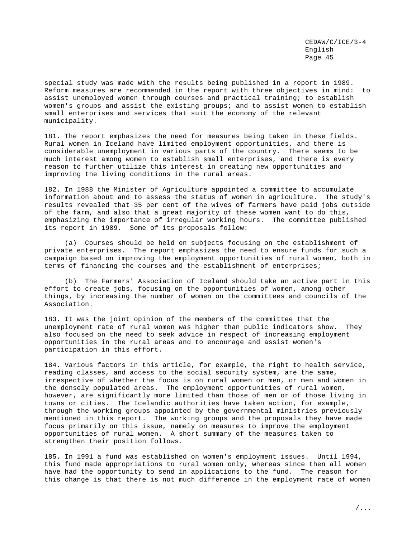special study was made with the results being published in a report in 1989. Reform measures are recommended in the report with three objectives in mind: to assist unemployed women through courses and practical training; to establish women's groups and assist the existing groups; and to assist women to establish small enterprises and services that suit the economy of the relevant municipality.

181. The report emphasizes the need for measures being taken in these fields. Rural women in Iceland have limited employment opportunities, and there is considerable unemployment in various parts of the country. There seems to be much interest among women to establish small enterprises, and there is every reason to further utilize this interest in creating new opportunities and improving the living conditions in the rural areas.

182. In 1988 the Minister of Agriculture appointed a committee to accumulate information about and to assess the status of women in agriculture. The study's results revealed that 35 per cent of the wives of farmers have paid jobs outside of the farm, and also that a great majority of these women want to do this, emphasizing the importance of irregular working hours. The committee published its report in 1989. Some of its proposals follow:

(a) Courses should be held on subjects focusing on the establishment of private enterprises. The report emphasizes the need to ensure funds for such a campaign based on improving the employment opportunities of rural women, both in terms of financing the courses and the establishment of enterprises;

(b) The Farmers' Association of Iceland should take an active part in this effort to create jobs, focusing on the opportunities of women, among other things, by increasing the number of women on the committees and councils of the Association.

183. It was the joint opinion of the members of the committee that the unemployment rate of rural women was higher than public indicators show. They also focused on the need to seek advice in respect of increasing employment opportunities in the rural areas and to encourage and assist women's participation in this effort.

184. Various factors in this article, for example, the right to health service, reading classes, and access to the social security system, are the same, irrespective of whether the focus is on rural women or men, or men and women in the densely populated areas. The employment opportunities of rural women, however, are significantly more limited than those of men or of those living in towns or cities. The Icelandic authorities have taken action, for example, through the working groups appointed by the governmental ministries previously mentioned in this report. The working groups and the proposals they have made focus primarily on this issue, namely on measures to improve the employment opportunities of rural women. A short summary of the measures taken to strengthen their position follows.

185. In 1991 a fund was established on women's employment issues. Until 1994, this fund made appropriations to rural women only, whereas since then all women have had the opportunity to send in applications to the fund. The reason for this change is that there is not much difference in the employment rate of women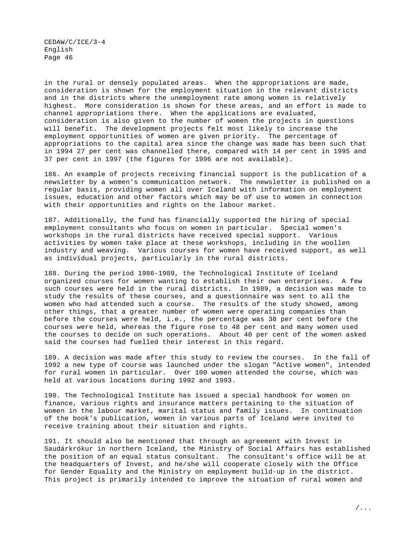in the rural or densely populated areas. When the appropriations are made, consideration is shown for the employment situation in the relevant districts and in the districts where the unemployment rate among women is relatively highest. More consideration is shown for these areas, and an effort is made to channel appropriations there. When the applications are evaluated, consideration is also given to the number of women the projects in questions will benefit. The development projects felt most likely to increase the employment opportunities of women are given priority. The percentage of appropriations to the capital area since the change was made has been such that in 1994 27 per cent was channelled there, compared with 14 per cent in 1995 and 37 per cent in 1997 (the figures for 1996 are not available).

186. An example of projects receiving financial support is the publication of a newsletter by a women's communication network. The newsletter is published on a regular basis, providing women all over Iceland with information on employment issues, education and other factors which may be of use to women in connection with their opportunities and rights on the labour market.

187. Additionally, the fund has financially supported the hiring of special employment consultants who focus on women in particular. Special women's workshops in the rural districts have received special support. Various activities by women take place at these workshops, including in the woollen industry and weaving. Various courses for women have received support, as well as individual projects, particularly in the rural districts.

188. During the period 1986-1989, the Technological Institute of Iceland organized courses for women wanting to establish their own enterprises. A few such courses were held in the rural districts. In 1989, a decision was made to study the results of these courses, and a questionnaire was sent to all the women who had attended such a course. The results of the study showed, among other things, that a greater number of women were operating companies than before the courses were held, i.e., the percentage was 38 per cent before the courses were held, whereas the figure rose to 48 per cent and many women used the courses to decide on such operations. About 40 per cent of the women asked said the courses had fuelled their interest in this regard.

189. A decision was made after this study to review the courses. In the fall of 1992 a new type of course was launched under the slogan "Active women", intended for rural women in particular. Over 100 women attended the course, which was held at various locations during 1992 and 1993.

190. The Technological Institute has issued a special handbook for women on finance, various rights and insurance matters pertaining to the situation of women in the labour market, marital status and family issues. In continuation of the book's publication, women in various parts of Iceland were invited to receive training about their situation and rights.

191. It should also be mentioned that through an agreement with Invest in Saudárkrókur in northern Iceland, the Ministry of Social Affairs has established the position of an equal status consultant. The consultant's office will be at the headquarters of Invest, and he/she will cooperate closely with the Office for Gender Equality and the Ministry on employment build-up in the district. This project is primarily intended to improve the situation of rural women and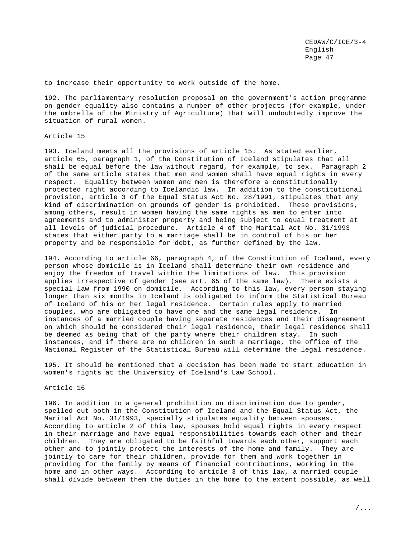to increase their opportunity to work outside of the home.

192. The parliamentary resolution proposal on the government's action programme on gender equality also contains a number of other projects (for example, under the umbrella of the Ministry of Agriculture) that will undoubtedly improve the situation of rural women.

## Article 15

193. Iceland meets all the provisions of article 15. As stated earlier, article 65, paragraph 1, of the Constitution of Iceland stipulates that all shall be equal before the law without regard, for example, to sex. Paragraph 2 of the same article states that men and women shall have equal rights in every respect. Equality between women and men is therefore a constitutionally protected right according to Icelandic law. In addition to the constitutional provision, article 3 of the Equal Status Act No. 28/1991, stipulates that any kind of discrimination on grounds of gender is prohibited. These provisions, among others, result in women having the same rights as men to enter into agreements and to administer property and being subject to equal treatment at all levels of judicial procedure. Article 4 of the Marital Act No. 31/1993 states that either party to a marriage shall be in control of his or her property and be responsible for debt, as further defined by the law.

194. According to article 66, paragraph 4, of the Constitution of Iceland, every person whose domicile is in Iceland shall determine their own residence and enjoy the freedom of travel within the limitations of law. This provision applies irrespective of gender (see art. 65 of the same law). There exists a special law from 1990 on domicile. According to this law, every person staying longer than six months in Iceland is obligated to inform the Statistical Bureau of Iceland of his or her legal residence. Certain rules apply to married couples, who are obligated to have one and the same legal residence. In instances of a married couple having separate residences and their disagreement on which should be considered their legal residence, their legal residence shall be deemed as being that of the party where their children stay. In such instances, and if there are no children in such a marriage, the office of the National Register of the Statistical Bureau will determine the legal residence.

195. It should be mentioned that a decision has been made to start education in women's rights at the University of Iceland's Law School.

#### Article 16

196. In addition to a general prohibition on discrimination due to gender, spelled out both in the Constitution of Iceland and the Equal Status Act, the Marital Act No. 31/1993, specially stipulates equality between spouses. According to article 2 of this law, spouses hold equal rights in every respect in their marriage and have equal responsibilities towards each other and their children. They are obligated to be faithful towards each other, support each other and to jointly protect the interests of the home and family. They are jointly to care for their children, provide for them and work together in providing for the family by means of financial contributions, working in the home and in other ways. According to article 3 of this law, a married couple shall divide between them the duties in the home to the extent possible, as well